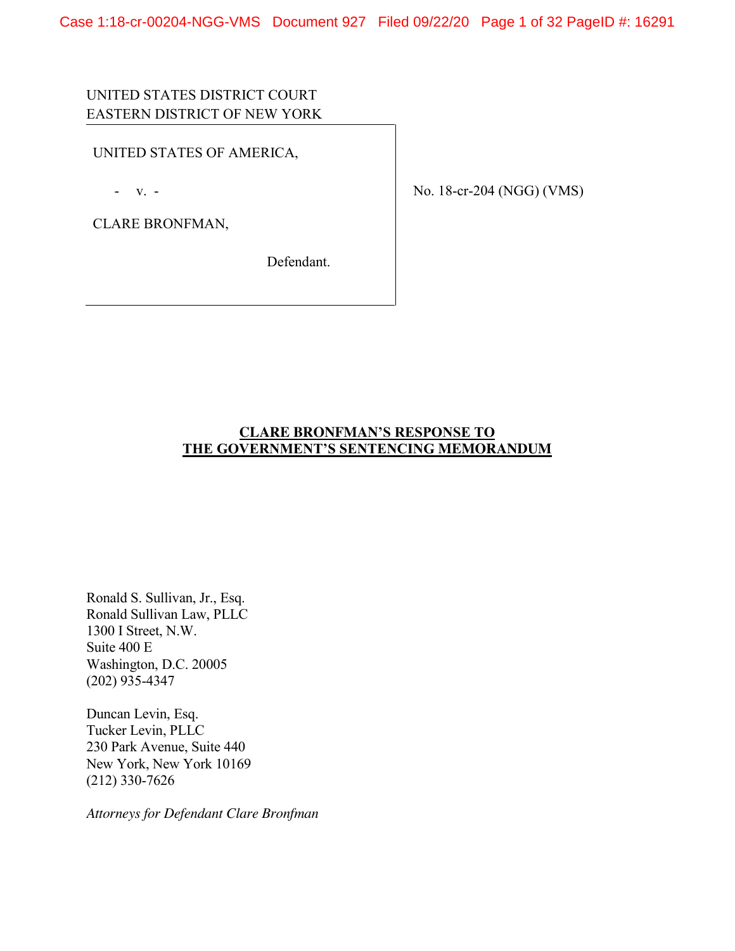Case 1:18-cr-00204-NGG-VMS Document 927 Filed 09/22/20 Page 1 of 32 PageID #: 16291

# UNITED STATES DISTRICT COURT EASTERN DISTRICT OF NEW YORK

UNITED STATES OF AMERICA,

- v. -

CLARE BRONFMAN,

Defendant.

No. 18-cr-204 (NGG) (VMS)

## **CLARE BRONFMAN'S RESPONSE TO THE GOVERNMENT'S SENTENCING MEMORANDUM**

Ronald S. Sullivan, Jr., Esq. Ronald Sullivan Law, PLLC 1300 I Street, N.W. Suite 400 E Washington, D.C. 20005 (202) 935-4347

Duncan Levin, Esq. Tucker Levin, PLLC 230 Park Avenue, Suite 440 New York, New York 10169 (212) 330-7626

*Attorneys for Defendant Clare Bronfman*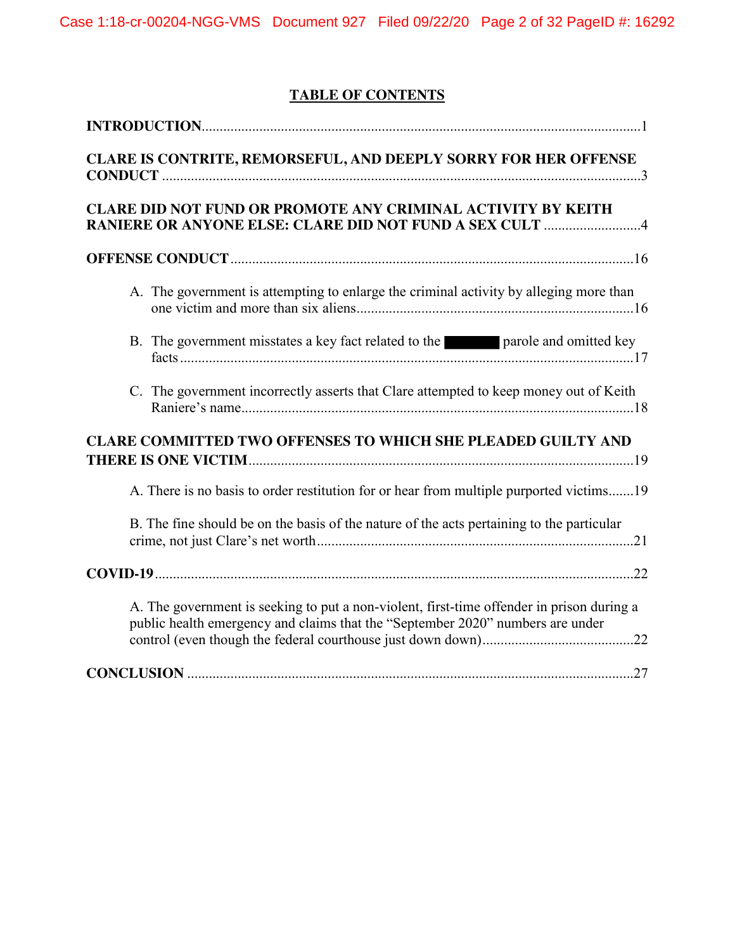# **TABLE OF CONTENTS**

| CLARE IS CONTRITE, REMORSEFUL, AND DEEPLY SORRY FOR HER OFFENSE                                                                                                             |  |  |  |
|-----------------------------------------------------------------------------------------------------------------------------------------------------------------------------|--|--|--|
| <b>CLARE DID NOT FUND OR PROMOTE ANY CRIMINAL ACTIVITY BY KEITH</b><br><b>RANIERE OR ANYONE ELSE: CLARE DID NOT FUND A SEX CULT 4</b>                                       |  |  |  |
|                                                                                                                                                                             |  |  |  |
| A. The government is attempting to enlarge the criminal activity by alleging more than                                                                                      |  |  |  |
| B. The government misstates a key fact related to the parole and omitted key                                                                                                |  |  |  |
| C. The government incorrectly asserts that Clare attempted to keep money out of Keith                                                                                       |  |  |  |
| <b>CLARE COMMITTED TWO OFFENSES TO WHICH SHE PLEADED GUILTY AND</b>                                                                                                         |  |  |  |
| A. There is no basis to order restitution for or hear from multiple purported victims19                                                                                     |  |  |  |
| B. The fine should be on the basis of the nature of the acts pertaining to the particular                                                                                   |  |  |  |
|                                                                                                                                                                             |  |  |  |
| A. The government is seeking to put a non-violent, first-time offender in prison during a<br>public health emergency and claims that the "September 2020" numbers are under |  |  |  |
|                                                                                                                                                                             |  |  |  |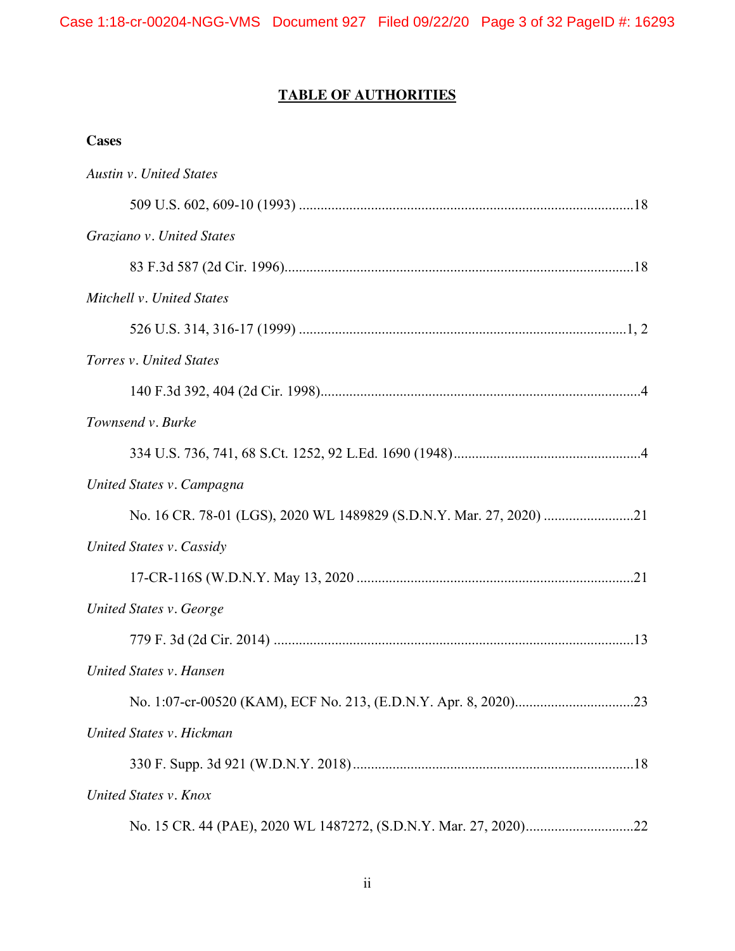# **TABLE OF AUTHORITIES**

## **Cases**

| <b>Austin v. United States</b> |  |
|--------------------------------|--|
|                                |  |
| Graziano v. United States      |  |
|                                |  |
| Mitchell v. United States      |  |
|                                |  |
| Torres v. United States        |  |
|                                |  |
| Townsend v. Burke              |  |
|                                |  |
| United States v. Campagna      |  |
|                                |  |
| United States v. Cassidy       |  |
|                                |  |
| United States v. George        |  |
|                                |  |
| United States v. Hansen        |  |
|                                |  |
| United States v. Hickman       |  |
|                                |  |
| United States v. Knox          |  |
|                                |  |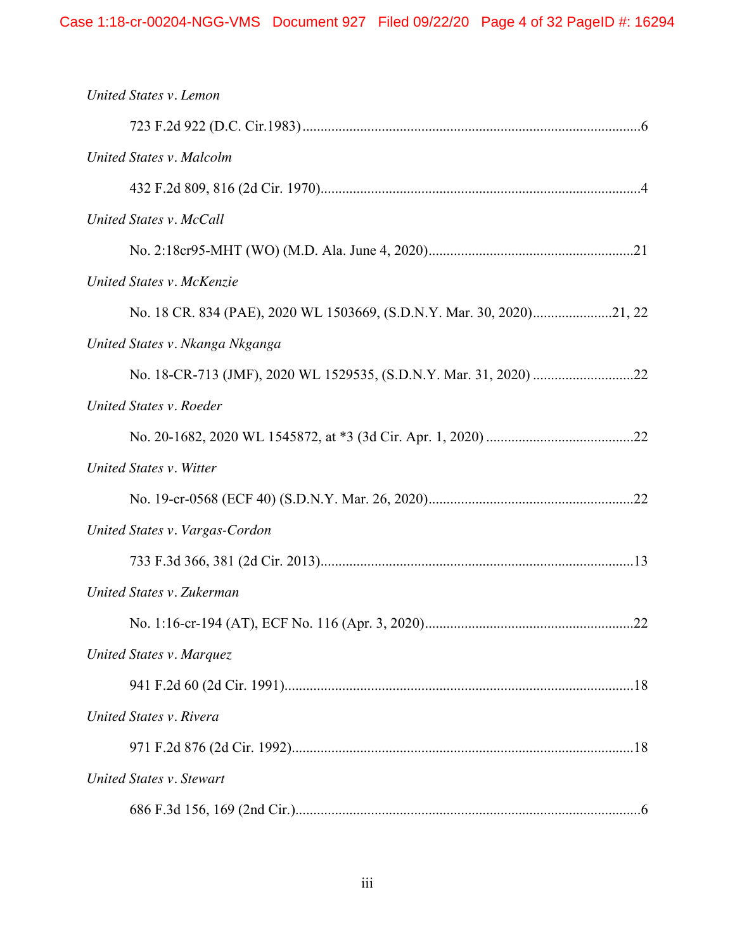| United States v. Lemon          |    |
|---------------------------------|----|
|                                 |    |
| United States v. Malcolm        |    |
|                                 |    |
| United States v. McCall         |    |
|                                 |    |
| United States v. McKenzie       |    |
|                                 |    |
| United States v. Nkanga Nkganga |    |
|                                 |    |
| United States v. Roeder         |    |
|                                 |    |
| United States v. Witter         |    |
|                                 |    |
| United States v. Vargas-Cordon  |    |
|                                 |    |
| United States v. Zukerman       |    |
|                                 | 22 |
| United States v. Marquez        |    |
|                                 |    |
| United States v. Rivera         |    |
|                                 |    |
| <b>United States v. Stewart</b> |    |
|                                 |    |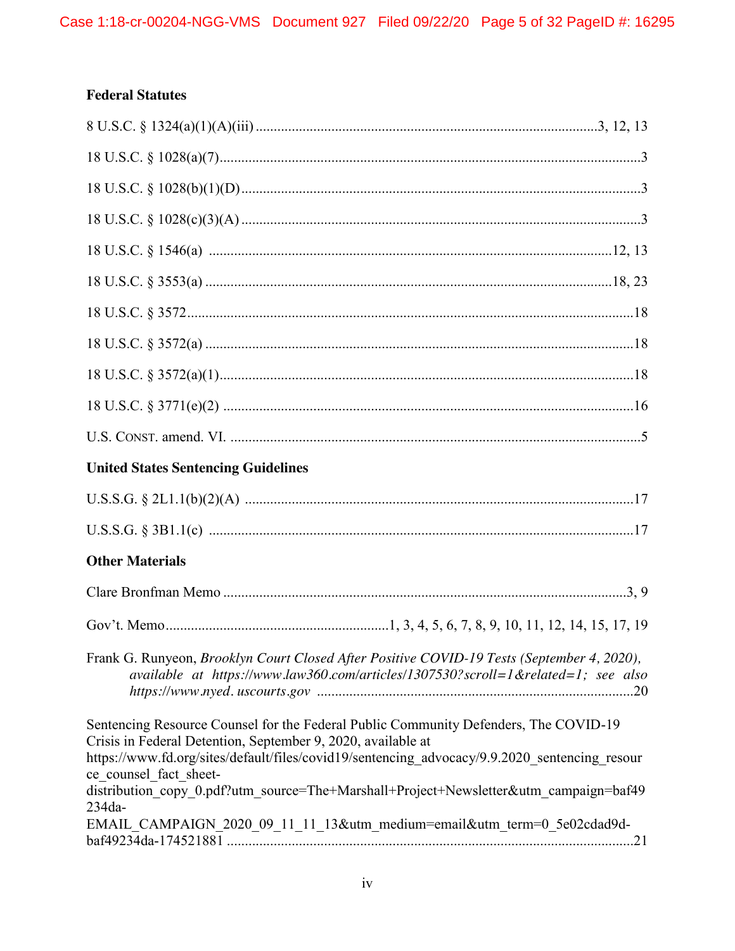# **Federal Statutes**

| <b>United States Sentencing Guidelines</b>                                                                                                                                                                                                                                                                                                                                                                                                                    |  |
|---------------------------------------------------------------------------------------------------------------------------------------------------------------------------------------------------------------------------------------------------------------------------------------------------------------------------------------------------------------------------------------------------------------------------------------------------------------|--|
|                                                                                                                                                                                                                                                                                                                                                                                                                                                               |  |
|                                                                                                                                                                                                                                                                                                                                                                                                                                                               |  |
| <b>Other Materials</b>                                                                                                                                                                                                                                                                                                                                                                                                                                        |  |
|                                                                                                                                                                                                                                                                                                                                                                                                                                                               |  |
|                                                                                                                                                                                                                                                                                                                                                                                                                                                               |  |
| Frank G. Runyeon, Brooklyn Court Closed After Positive COVID-19 Tests (September 4, 2020),<br>available at https://www.law360.com/articles/1307530?scroll=1&related=1; see also                                                                                                                                                                                                                                                                               |  |
| Sentencing Resource Counsel for the Federal Public Community Defenders, The COVID-19<br>Crisis in Federal Detention, September 9, 2020, available at<br>https://www.fd.org/sites/default/files/covid19/sentencing advocacy/9.9.2020 sentencing resour<br>ce counsel fact sheet-<br>distribution copy 0.pdf?utm source=The+Marshall+Project+Newsletter&utm campaign=baf49<br>234da-<br>EMAIL_CAMPAIGN_2020_09_11_11_13&utm_medium=email&utm_term=0_5e02cdad9d- |  |
|                                                                                                                                                                                                                                                                                                                                                                                                                                                               |  |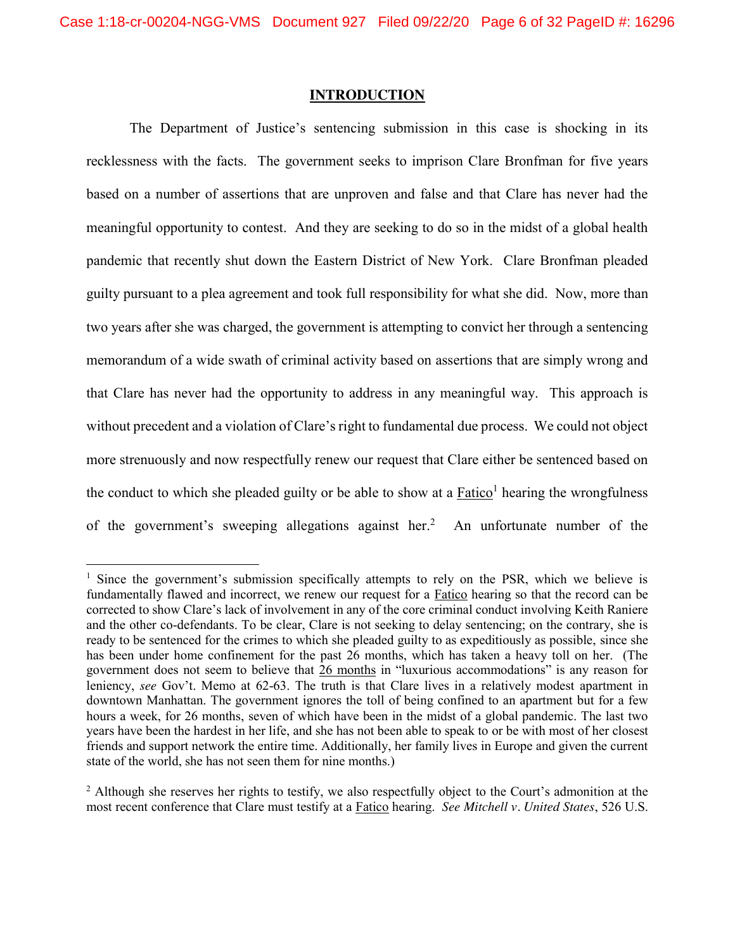### **INTRODUCTION**

The Department of Justice's sentencing submission in this case is shocking in its recklessness with the facts. The government seeks to imprison Clare Bronfman for five years based on a number of assertions that are unproven and false and that Clare has never had the meaningful opportunity to contest. And they are seeking to do so in the midst of a global health pandemic that recently shut down the Eastern District of New York. Clare Bronfman pleaded guilty pursuant to a plea agreement and took full responsibility for what she did. Now, more than two years after she was charged, the government is attempting to convict her through a sentencing memorandum of a wide swath of criminal activity based on assertions that are simply wrong and that Clare has never had the opportunity to address in any meaningful way. This approach is without precedent and a violation of Clare's right to fundamental due process. We could not object more strenuously and now respectfully renew our request that Clare either be sentenced based on the conduct to which she pleaded guilty or be able to show at a Fatico<sup>1</sup> hearing the wrongfulness of the government's sweeping allegations against her. <sup>2</sup> An unfortunate number of the

 $<sup>1</sup>$  Since the government's submission specifically attempts to rely on the PSR, which we believe is</sup> fundamentally flawed and incorrect, we renew our request for a Fatico hearing so that the record can be corrected to show Clare's lack of involvement in any of the core criminal conduct involving Keith Raniere and the other co-defendants. To be clear, Clare is not seeking to delay sentencing; on the contrary, she is ready to be sentenced for the crimes to which she pleaded guilty to as expeditiously as possible, since she has been under home confinement for the past 26 months, which has taken a heavy toll on her. (The government does not seem to believe that 26 months in "luxurious accommodations" is any reason for leniency, *see* Gov't. Memo at 62-63. The truth is that Clare lives in a relatively modest apartment in downtown Manhattan. The government ignores the toll of being confined to an apartment but for a few hours a week, for 26 months, seven of which have been in the midst of a global pandemic. The last two years have been the hardest in her life, and she has not been able to speak to or be with most of her closest friends and support network the entire time. Additionally, her family lives in Europe and given the current state of the world, she has not seen them for nine months.)

<sup>&</sup>lt;sup>2</sup> Although she reserves her rights to testify, we also respectfully object to the Court's admonition at the most recent conference that Clare must testify at a Fatico hearing. *See Mitchell v. United States*, 526 U.S.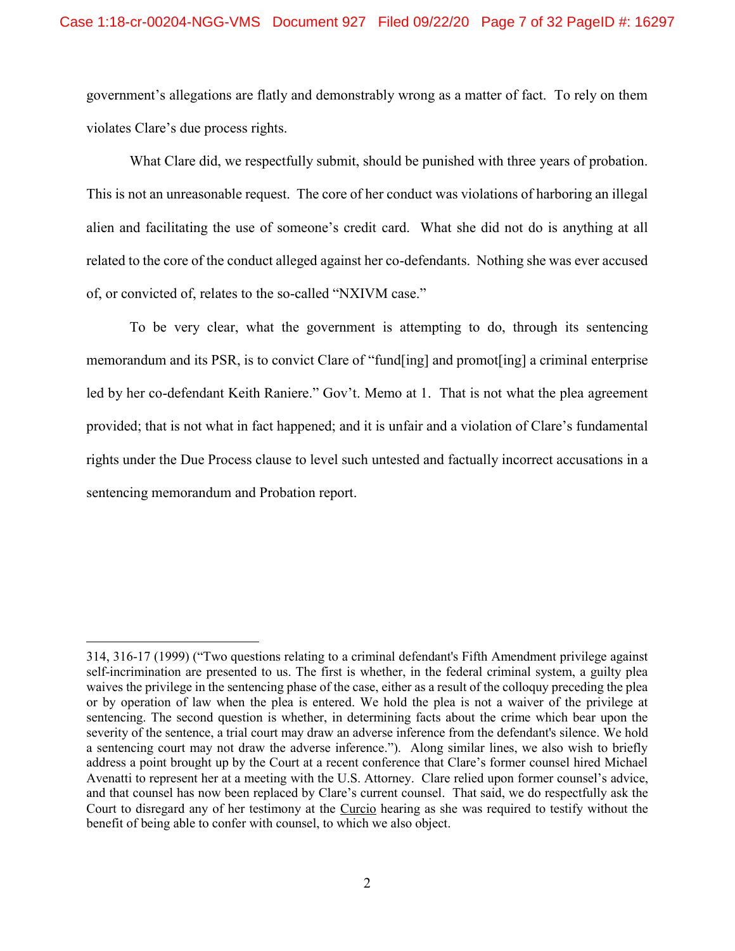government's allegations are flatly and demonstrably wrong as a matter of fact. To rely on them violates Clare's due process rights.

What Clare did, we respectfully submit, should be punished with three years of probation. This is not an unreasonable request. The core of her conduct was violations of harboring an illegal alien and facilitating the use of someone's credit card. What she did not do is anything at all related to the core of the conduct alleged against her co-defendants. Nothing she was ever accused of, or convicted of, relates to the so-called "NXIVM case."

To be very clear, what the government is attempting to do, through its sentencing memorandum and its PSR, is to convict Clare of "fund[ing] and promot[ing] a criminal enterprise led by her co-defendant Keith Raniere." Gov't. Memo at 1. That is not what the plea agreement provided; that is not what in fact happened; and it is unfair and a violation of Clare's fundamental rights under the Due Process clause to level such untested and factually incorrect accusations in a sentencing memorandum and Probation report.

 $\overline{a}$ 

<sup>314, 316-</sup>17 (1999) ("Two questions relating to a criminal defendant's Fifth Amendment privilege against self-incrimination are presented to us. The first is whether, in the federal criminal system, a guilty plea waives the privilege in the sentencing phase of the case, either as a result of the colloquy preceding the plea or by operation of law when the plea is entered. We hold the plea is not a waiver of the privilege at sentencing. The second question is whether, in determining facts about the crime which bear upon the severity of the sentence, a trial court may draw an adverse inference from the defendant's silence. We hold a sentencing court may not draw the adverse inference."). Along similar lines, we also wish to briefly address a point brought up by the Court at a recent conference that Clare's former counsel hired Michael Avenatti to represent her at a meeting with the U.S. Attorney. Clare relied upon former counsel's advice, and that counsel has now been replaced by Clare's current counsel. That said, we do respectfully ask the Court to disregard any of her testimony at the Curcio hearing as she was required to testify without the benefit of being able to confer with counsel, to which we also object.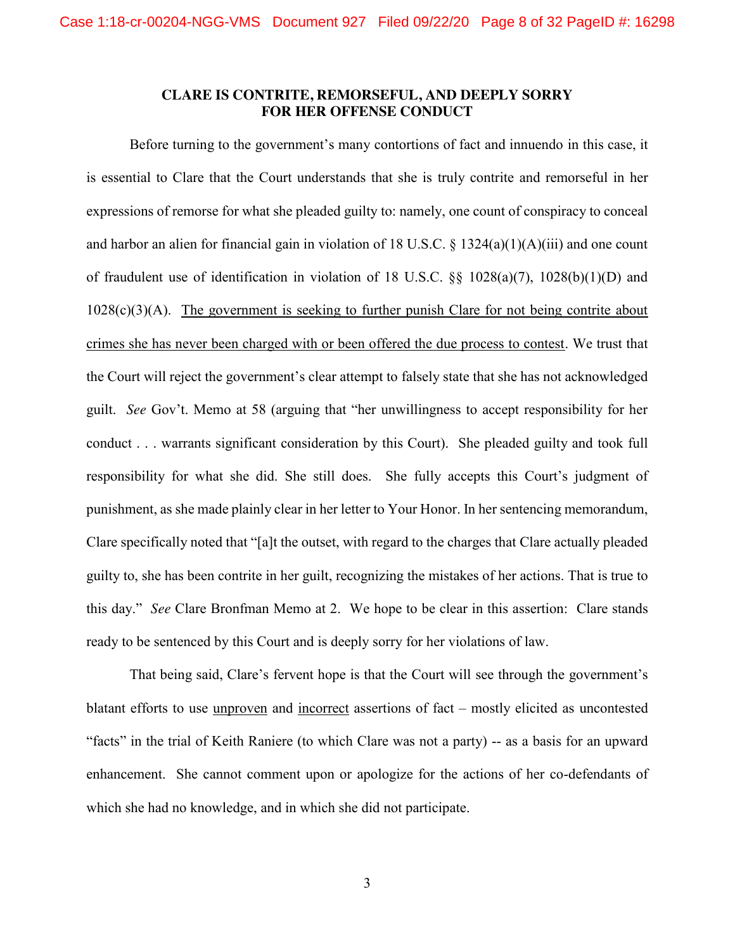### **CLARE IS CONTRITE, REMORSEFUL, AND DEEPLY SORRY FOR HER OFFENSE CONDUCT**

Before turning to the government's many contortions of fact and innuendo in this case, it is essential to Clare that the Court understands that she is truly contrite and remorseful in her expressions of remorse for what she pleaded guilty to: namely, one count of conspiracy to conceal and harbor an alien for financial gain in violation of 18 U.S.C. § 1324(a)(1)(A)(iii) and one count of fraudulent use of identification in violation of 18 U.S.C. §§ 1028(a)(7), 1028(b)(1)(D) and 1028(c)(3)(A). The government is seeking to further punish Clare for not being contrite about crimes she has never been charged with or been offered the due process to contest. We trust that the Court will reject the government's clear attempt to falsely state that she has not acknowledged guilt. *See* Gov't. Memo at 58 (arguing that "her unwillingness to accept responsibility for her conduct . . . warrants significant consideration by this Court). She pleaded guilty and took full responsibility for what she did. She still does. She fully accepts this Court's judgment of punishment, as she made plainly clear in her letter to Your Honor. In her sentencing memorandum, Clare specifically noted that "[a]t the outset, with regard to the charges that Clare actually pleaded guilty to, she has been contrite in her guilt, recognizing the mistakes of her actions. That is true to this day." *See* Clare Bronfman Memo at 2. We hope to be clear in this assertion: Clare stands ready to be sentenced by this Court and is deeply sorry for her violations of law.

That being said, Clare's fervent hope is that the Court will see through the government's blatant efforts to use unproven and incorrect assertions of fact – mostly elicited as uncontested "facts" in the trial of Keith Raniere (to which Clare was not a party) -- as a basis for an upward enhancement. She cannot comment upon or apologize for the actions of her co-defendants of which she had no knowledge, and in which she did not participate.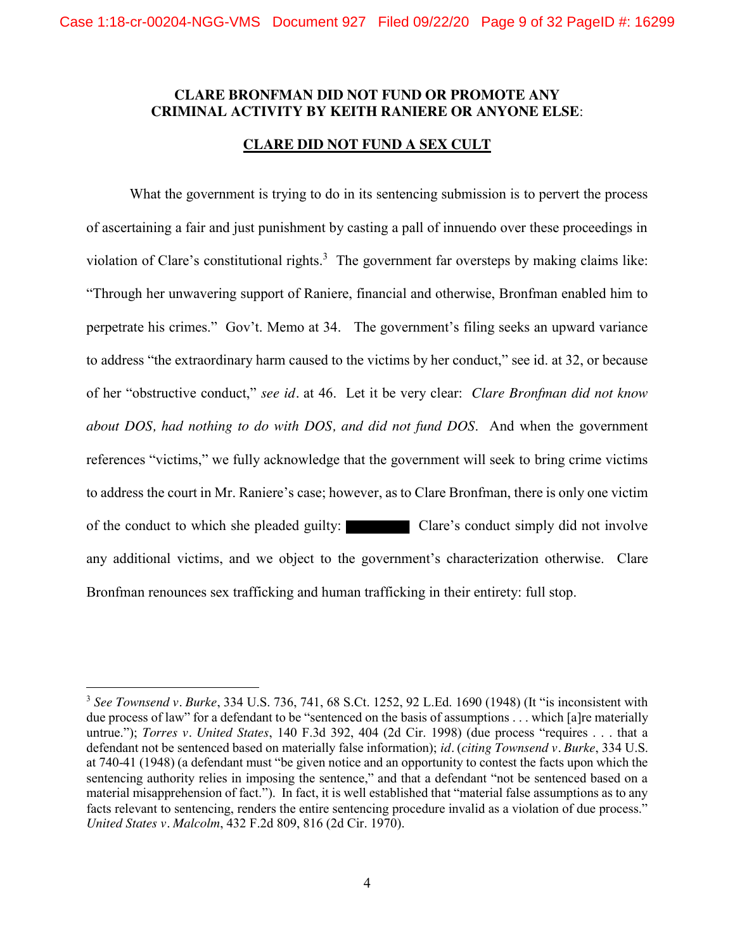### **CLARE BRONFMAN DID NOT FUND OR PROMOTE ANY CRIMINAL ACTIVITY BY KEITH RANIERE OR ANYONE ELSE**:

### **CLARE DID NOT FUND A SEX CULT**

What the government is trying to do in its sentencing submission is to pervert the process of ascertaining a fair and just punishment by casting a pall of innuendo over these proceedings in violation of Clare's constitutional rights.<sup>3</sup> The government far oversteps by making claims like: "Through her unwavering support of Raniere, financial and otherwise, Bronfman enabled him to perpetrate his crimes." Gov't. Memo at 34. The government's filing seeks an upward variance to address "the extraordinary harm caused to the victims by her conduct," see id. at 32, or because of her "obstructive conduct," *see id.* at 46. Let it be very clear: *Clare Bronfman did not know about DOS, had nothing to do with DOS, and did not fund DOS*. And when the government references "victims," we fully acknowledge that the government will seek to bring crime victims to address the court in Mr. Raniere's case; however, as to Clare Bronfman, there is only one victim of the conduct to which she pleaded guilty: Clare's conduct simply did not involve any additional victims, and we object to the government's characterization otherwise. Clare Bronfman renounces sex trafficking and human trafficking in their entirety: full stop.

 <sup>3</sup> *See Townsend v. Burke*, 334 U.S. 736, 741, 68 S.Ct. 1252, 92 L.Ed. 1690 (1948) (It "is inconsistent with due process of law" for a defendant to be "sentenced on the basis of assumptions . . . which [a]re materially untrue."); *Torres v. United States*, 140 F.3d 392, 404 (2d Cir. 1998) (due process "requires . . . that a defendant not be sentenced based on materially false information); *id.* (*citing Townsend v. Burke*, 334 U.S. at 740-41 (1948) (a defendant must "be given notice and an opportunity to contest the facts upon which the sentencing authority relies in imposing the sentence," and that a defendant "not be sentenced based on a material misapprehension of fact."). In fact, it is well established that "material false assumptions as to any facts relevant to sentencing, renders the entire sentencing procedure invalid as a violation of due process." *United States v. Malcolm*, 432 F.2d 809, 816 (2d Cir. 1970).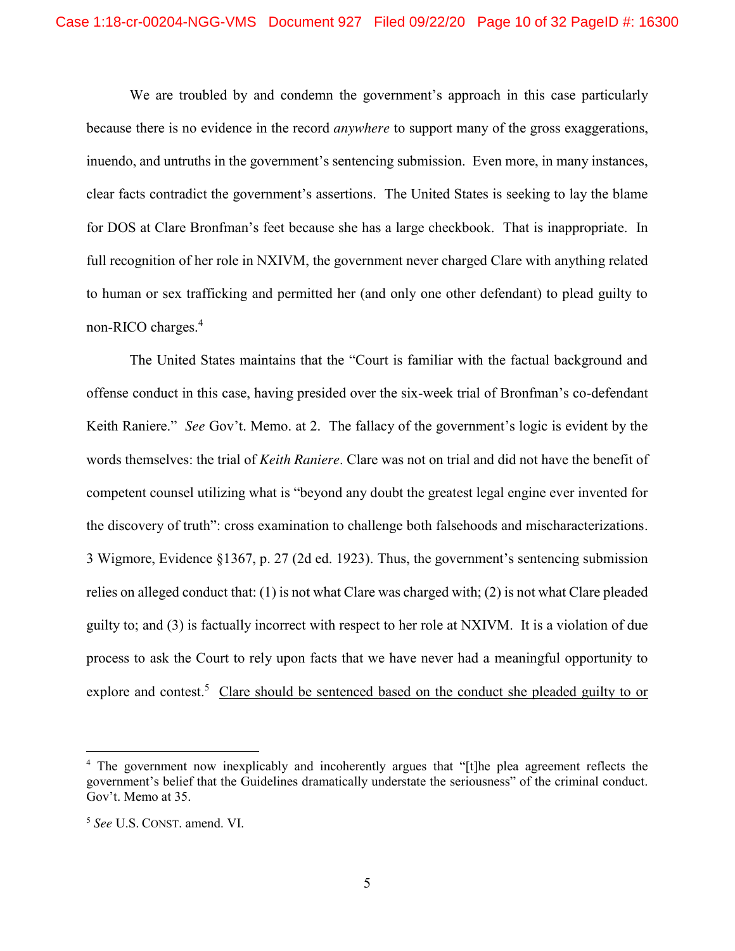We are troubled by and condemn the government's approach in this case particularly because there is no evidence in the record *anywhere* to support many of the gross exaggerations, inuendo, and untruths in the government's sentencing submission. Even more, in many instances, clear facts contradict the government's assertions. The United States is seeking to lay the blame for DOS at Clare Bronfman's feet because she has a large checkbook. That is inappropriate. In full recognition of her role in NXIVM, the government never charged Clare with anything related to human or sex trafficking and permitted her (and only one other defendant) to plead guilty to non-RICO charges.<sup>4</sup>

The United States maintains that the "Court is familiar with the factual background and offense conduct in this case, having presided over the six-week trial of Bronfman's co-defendant Keith Raniere." *See* Gov't. Memo. at 2. The fallacy of the government's logic is evident by the words themselves: the trial of *Keith Raniere*. Clare was not on trial and did not have the benefit of competent counsel utilizing what is "beyond any doubt the greatest legal engine ever invented for the discovery of truth": cross examination to challenge both falsehoods and mischaracterizations. 3 Wigmore, Evidence §1367, p. 27 (2d ed. 1923). Thus, the government's sentencing submission relies on alleged conduct that: (1) is not what Clare was charged with; (2) is not what Clare pleaded guilty to; and (3) is factually incorrect with respect to her role at NXIVM. It is a violation of due process to ask the Court to rely upon facts that we have never had a meaningful opportunity to explore and contest.<sup>5</sup> Clare should be sentenced based on the conduct she pleaded guilty to or

 <sup>4</sup> The government now inexplicably and incoherently argues that "[t]he plea agreement reflects the government's belief that the Guidelines dramatically understate the seriousness" of the criminal conduct. Gov't. Memo at 35.

<sup>5</sup> *See* U.S. CONST. amend. VI.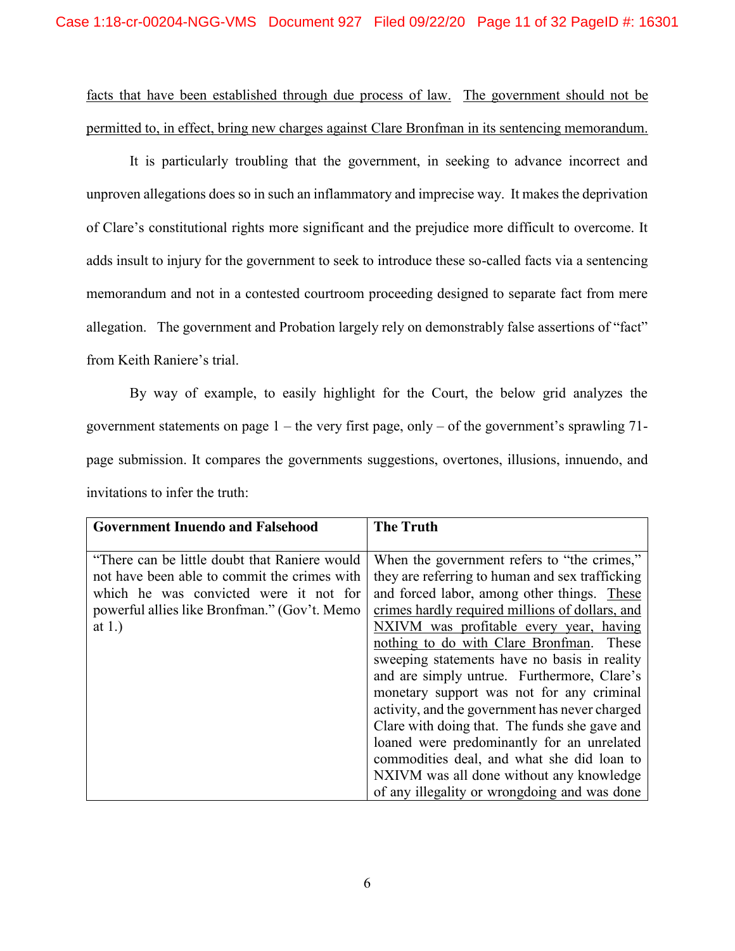facts that have been established through due process of law. The government should not be permitted to, in effect, bring new charges against Clare Bronfman in its sentencing memorandum.

It is particularly troubling that the government, in seeking to advance incorrect and unproven allegations does so in such an inflammatory and imprecise way. It makes the deprivation of Clare's constitutional rights more significant and the prejudice more difficult to overcome. It adds insult to injury for the government to seek to introduce these so-called facts via a sentencing memorandum and not in a contested courtroom proceeding designed to separate fact from mere allegation. The government and Probation largely rely on demonstrably false assertions of "fact" from Keith Raniere's trial.

By way of example, to easily highlight for the Court, the below grid analyzes the government statements on page  $1$  – the very first page, only – of the government's sprawling 71page submission. It compares the governments suggestions, overtones, illusions, innuendo, and invitations to infer the truth:

| <b>Government Inuendo and Falsehood</b>        | <b>The Truth</b>                                |
|------------------------------------------------|-------------------------------------------------|
|                                                |                                                 |
| "There can be little doubt that Raniere would" | When the government refers to "the crimes,"     |
| not have been able to commit the crimes with   | they are referring to human and sex trafficking |
| which he was convicted were it not for         | and forced labor, among other things. These     |
| powerful allies like Bronfman." (Gov't. Memo   | crimes hardly required millions of dollars, and |
| at $1.$ )                                      | NXIVM was profitable every year, having         |
|                                                | nothing to do with Clare Bronfman. These        |
|                                                | sweeping statements have no basis in reality    |
|                                                | and are simply untrue. Furthermore, Clare's     |
|                                                | monetary support was not for any criminal       |
|                                                | activity, and the government has never charged  |
|                                                | Clare with doing that. The funds she gave and   |
|                                                | loaned were predominantly for an unrelated      |
|                                                | commodities deal, and what she did loan to      |
|                                                | NXIVM was all done without any knowledge        |
|                                                | of any illegality or wrongdoing and was done    |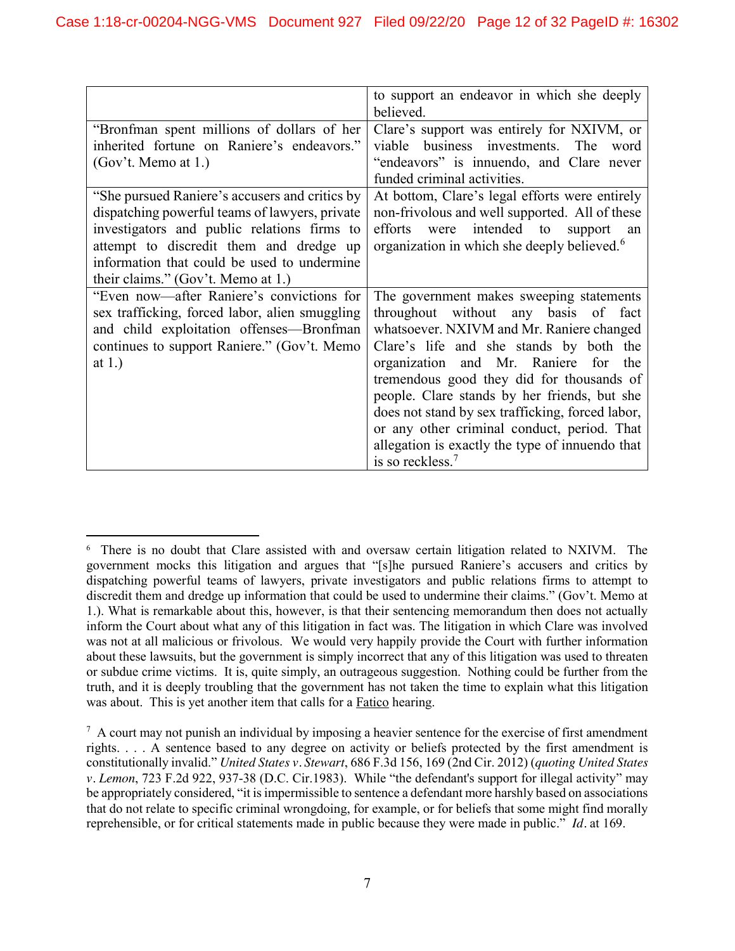|                                                | to support an endeavor in which she deeply              |
|------------------------------------------------|---------------------------------------------------------|
|                                                | believed.                                               |
| "Bronfman spent millions of dollars of her     | Clare's support was entirely for NXIVM, or              |
| inherited fortune on Raniere's endeavors."     | viable business investments. The<br>word                |
| $(Gov't.$ Memo at 1.)                          | "endeavors" is innuendo, and Clare never                |
|                                                | funded criminal activities.                             |
| "She pursued Raniere's accusers and critics by | At bottom, Clare's legal efforts were entirely          |
| dispatching powerful teams of lawyers, private | non-frivolous and well supported. All of these          |
| investigators and public relations firms to    | efforts were intended to<br>support<br>an               |
| attempt to discredit them and dredge up        | organization in which she deeply believed. <sup>6</sup> |
| information that could be used to undermine    |                                                         |
| their claims." (Gov't. Memo at 1.)             |                                                         |
| "Even now—after Raniere's convictions for      | The government makes sweeping statements                |
| sex trafficking, forced labor, alien smuggling | throughout without any basis of fact                    |
| and child exploitation offenses—Bronfman       | whatsoever. NXIVM and Mr. Raniere changed               |
| continues to support Raniere." (Gov't. Memo    | Clare's life and she stands by both the                 |
| at $1.$ )                                      | organization and Mr. Raniere for the                    |
|                                                | tremendous good they did for thousands of               |
|                                                | people. Clare stands by her friends, but she            |
|                                                | does not stand by sex trafficking, forced labor,        |
|                                                | or any other criminal conduct, period. That             |
|                                                | allegation is exactly the type of innuendo that         |
|                                                | is so reckless. <sup>7</sup>                            |

 $\frac{1}{6}$ <sup>6</sup> There is no doubt that Clare assisted with and oversaw certain litigation related to NXIVM. The government mocks this litigation and argues that "[s]he pursued Raniere's accusers and critics by dispatching powerful teams of lawyers, private investigators and public relations firms to attempt to discredit them and dredge up information that could be used to undermine their claims." (Gov't. Memo at 1.). What is remarkable about this, however, is that their sentencing memorandum then does not actually inform the Court about what any of this litigation in fact was. The litigation in which Clare was involved was not at all malicious or frivolous. We would very happily provide the Court with further information about these lawsuits, but the government is simply incorrect that any of this litigation was used to threaten or subdue crime victims. It is, quite simply, an outrageous suggestion. Nothing could be further from the truth, and it is deeply troubling that the government has not taken the time to explain what this litigation was about. This is yet another item that calls for a Fatico hearing.

<sup>&</sup>lt;sup>7</sup> A court may not punish an individual by imposing a heavier sentence for the exercise of first amendment rights. . . . A sentence based to any degree on activity or beliefs protected by the first amendment is constitutionally invalid." *United States v. Stewart*, 686 F.3d 156, 169 (2nd Cir. 2012) (*quoting United States v. Lemon*, 723 F.2d 922, 937-38 (D.C. Cir.1983). While "the defendant's support for illegal activity" may be appropriately considered, "it is impermissible to sentence a defendant more harshly based on associations that do not relate to specific criminal wrongdoing, for example, or for beliefs that some might find morally reprehensible, or for critical statements made in public because they were made in public." *Id.* at 169.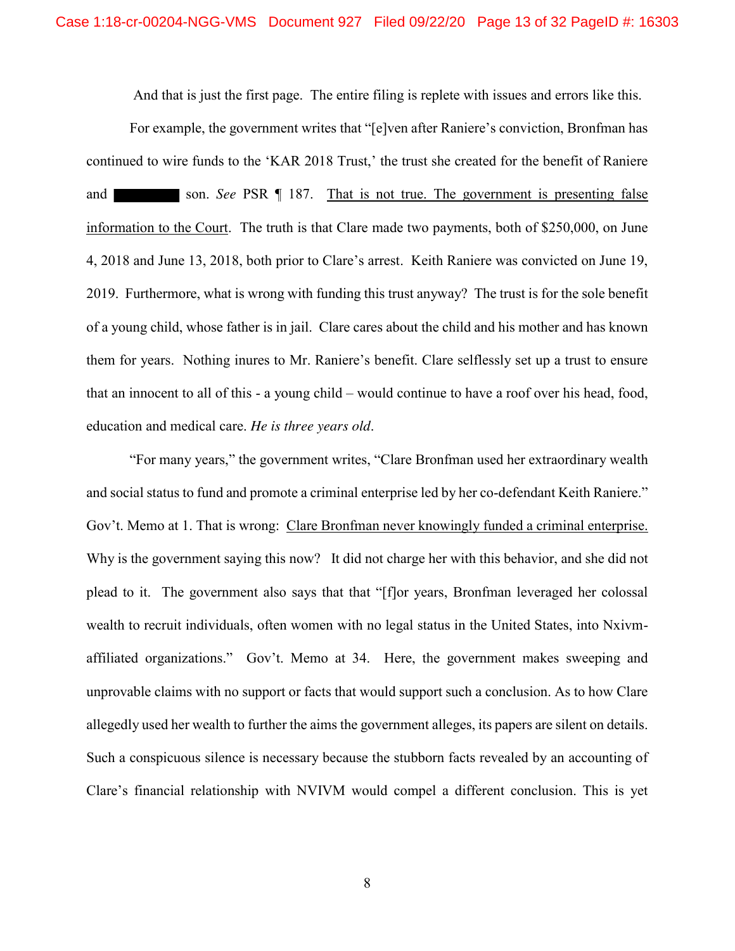And that is just the first page. The entire filing is replete with issues and errors like this.

For example, the government writes that "[e]ven after Raniere's conviction, Bronfman has continued to wire funds to the 'KAR 2018 Trust,' the trust she created for the benefit of Raniere and son. *See* PSR ¶ 187. That is not true. The government is presenting false information to the Court. The truth is that Clare made two payments, both of \$250,000, on June 4, 2018 and June 13, 2018, both prior to Clare's arrest. Keith Raniere was convicted on June 19, 2019. Furthermore, what is wrong with funding this trust anyway? The trust is for the sole benefit of a young child, whose father is in jail. Clare cares about the child and his mother and has known them for years. Nothing inures to Mr. Raniere's benefit. Clare selflessly set up a trust to ensure that an innocent to all of this - a young child – would continue to have a roof over his head, food, education and medical care. *He is three years old*.

"For many years," the government writes, "Clare Bronfman used her extraordinary wealth and social status to fund and promote a criminal enterprise led by her co-defendant Keith Raniere." Gov't. Memo at 1. That is wrong: Clare Bronfman never knowingly funded a criminal enterprise. Why is the government saying this now? It did not charge her with this behavior, and she did not plead to it. The government also says that that "[f]or years, Bronfman leveraged her colossal wealth to recruit individuals, often women with no legal status in the United States, into Nxivmaffiliated organizations." Gov't. Memo at 34. Here, the government makes sweeping and unprovable claims with no support or facts that would support such a conclusion. As to how Clare allegedly used her wealth to further the aims the government alleges, its papers are silent on details. Such a conspicuous silence is necessary because the stubborn facts revealed by an accounting of Clare's financial relationship with NVIVM would compel a different conclusion. This is yet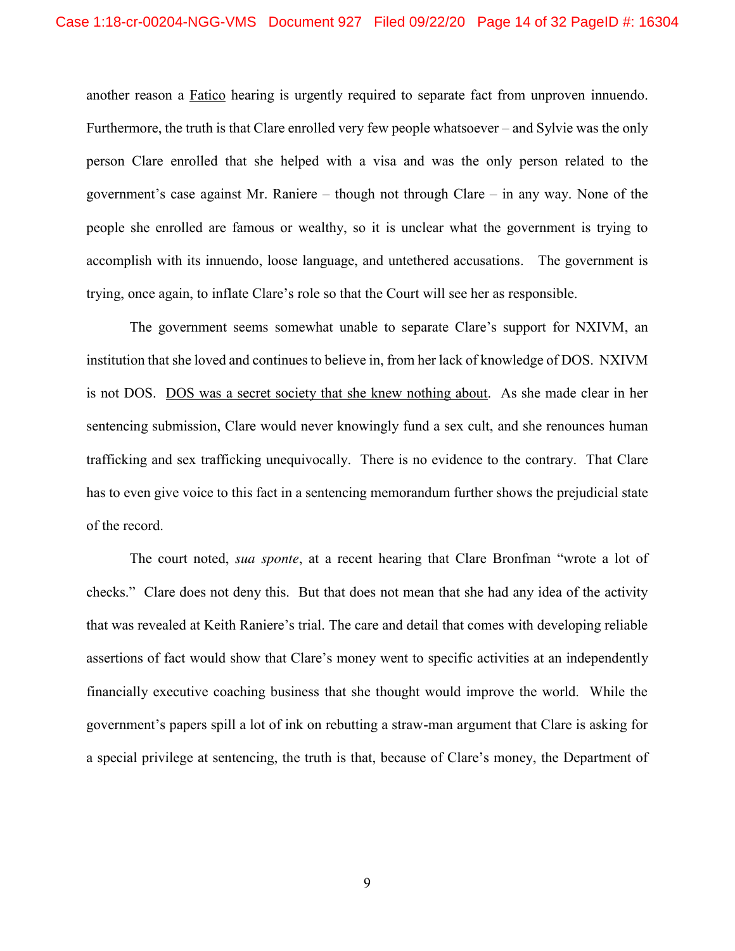another reason a Fatico hearing is urgently required to separate fact from unproven innuendo. Furthermore, the truth is that Clare enrolled very few people whatsoever – and Sylvie was the only person Clare enrolled that she helped with a visa and was the only person related to the government's case against Mr. Raniere – though not through Clare – in any way. None of the people she enrolled are famous or wealthy, so it is unclear what the government is trying to accomplish with its innuendo, loose language, and untethered accusations. The government is trying, once again, to inflate Clare's role so that the Court will see her as responsible.

The government seems somewhat unable to separate Clare's support for NXIVM, an institution that she loved and continues to believe in, from her lack of knowledge of DOS. NXIVM is not DOS. DOS was a secret society that she knew nothing about. As she made clear in her sentencing submission, Clare would never knowingly fund a sex cult, and she renounces human trafficking and sex trafficking unequivocally. There is no evidence to the contrary. That Clare has to even give voice to this fact in a sentencing memorandum further shows the prejudicial state of the record.

The court noted, *sua sponte*, at a recent hearing that Clare Bronfman "wrote a lot of checks." Clare does not deny this. But that does not mean that she had any idea of the activity that was revealed at Keith Raniere's trial. The care and detail that comes with developing reliable assertions of fact would show that Clare's money went to specific activities at an independently financially executive coaching business that she thought would improve the world. While the government's papers spill a lot of ink on rebutting a straw-man argument that Clare is asking for a special privilege at sentencing, the truth is that, because of Clare's money, the Department of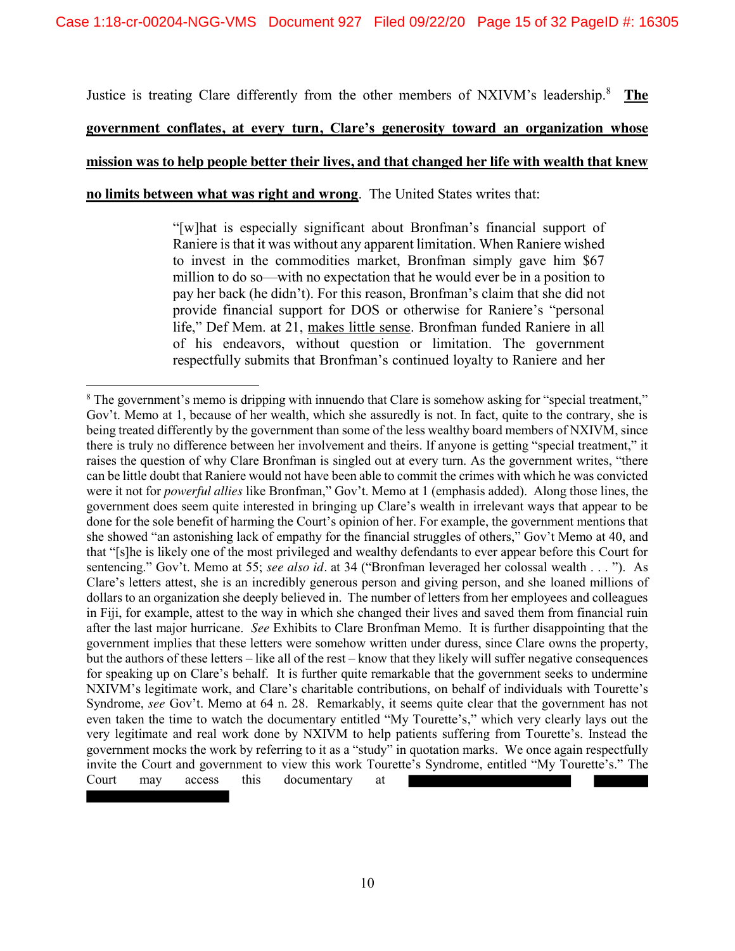Justice is treating Clare differently from the other members of NXIVM's leadership.<sup>8</sup> **The** 

# **government conflates, at every turn, Clare's generosity toward an organization whose**

### **mission was to help people better their lives, and that changed her life with wealth that knew**

**no limits between what was right and wrong**. The United States writes that:

"[w]hat is especially significant about Bronfman's financial support of Raniere is that it was without any apparent limitation. When Raniere wished to invest in the commodities market, Bronfman simply gave him \$67 million to do so—with no expectation that he would ever be in a position to pay her back (he didn't). For this reason, Bronfman's claim that she did not provide financial support for DOS or otherwise for Raniere's "personal life," Def Mem. at 21, makes little sense. Bronfman funded Raniere in all of his endeavors, without question or limitation. The government respectfully submits that Bronfman's continued loyalty to Raniere and her

<sup>&</sup>lt;sup>8</sup> The government's memo is dripping with innuendo that Clare is somehow asking for "special treatment," Gov't. Memo at 1, because of her wealth, which she assuredly is not. In fact, quite to the contrary, she is being treated differently by the government than some of the less wealthy board members of NXIVM, since there is truly no difference between her involvement and theirs. If anyone is getting "special treatment," it raises the question of why Clare Bronfman is singled out at every turn. As the government writes, "there can be little doubt that Raniere would not have been able to commit the crimes with which he was convicted were it not for *powerful allies* like Bronfman," Gov't. Memo at 1 (emphasis added). Along those lines, the government does seem quite interested in bringing up Clare's wealth in irrelevant ways that appear to be done for the sole benefit of harming the Court's opinion of her. For example, the government mentions that she showed "an astonishing lack of empathy for the financial struggles of others," Gov't Memo at 40, and that "[s]he is likely one of the most privileged and wealthy defendants to ever appear before this Court for sentencing." Gov't. Memo at 55; *see also id.* at 34 ("Bronfman leveraged her colossal wealth . . . "). As Clare's letters attest, she is an incredibly generous person and giving person, and she loaned millions of dollars to an organization she deeply believed in. The number of letters from her employees and colleagues in Fiji, for example, attest to the way in which she changed their lives and saved them from financial ruin after the last major hurricane. *See* Exhibits to Clare Bronfman Memo. It is further disappointing that the government implies that these letters were somehow written under duress, since Clare owns the property, but the authors of these letters – like all of the rest – know that they likely will suffer negative consequences for speaking up on Clare's behalf. It is further quite remarkable that the government seeks to undermine NXIVM's legitimate work, and Clare's charitable contributions, on behalf of individuals with Tourette's Syndrome, *see* Gov't. Memo at 64 n. 28. Remarkably, it seems quite clear that the government has not even taken the time to watch the documentary entitled "My Tourette's," which very clearly lays out the very legitimate and real work done by NXIVM to help patients suffering from Tourette's. Instead the government mocks the work by referring to it as a "study" in quotation marks. We once again respectfully invite the Court and government to view this work Tourette's Syndrome, entitled "My Tourette's." The Court may access this documentary at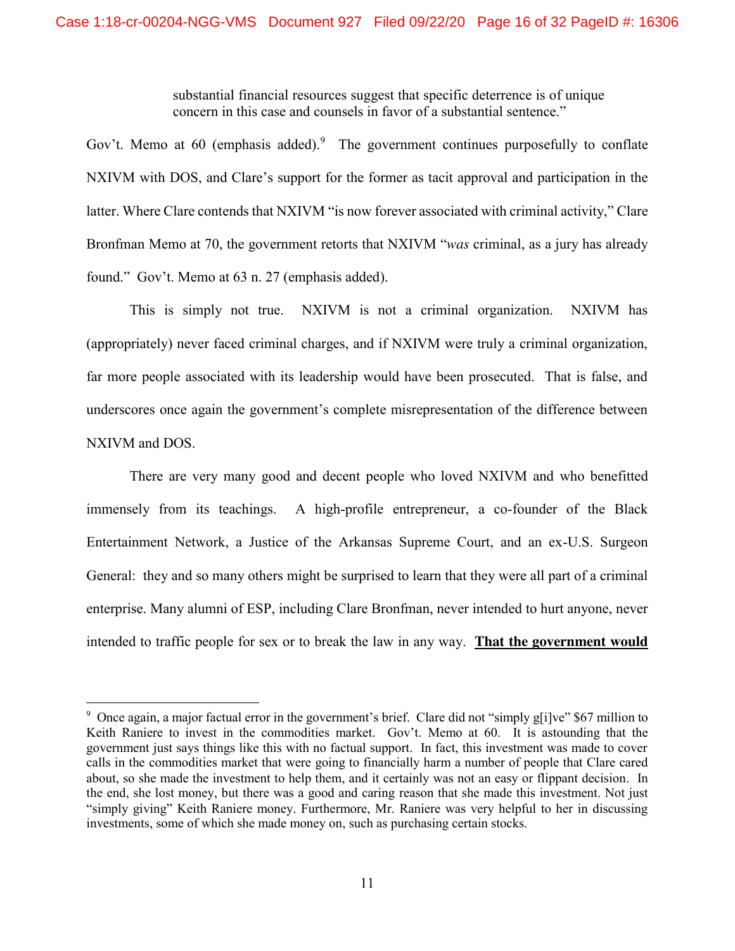substantial financial resources suggest that specific deterrence is of unique concern in this case and counsels in favor of a substantial sentence."

Gov't. Memo at 60 (emphasis added). The government continues purposefully to conflate NXIVM with DOS, and Clare's support for the former as tacit approval and participation in the latter. Where Clare contends that NXIVM "is now forever associated with criminal activity," Clare Bronfman Memo at 70, the government retorts that NXIVM "*was* criminal, as a jury has already found." Gov't. Memo at 63 n. 27 (emphasis added).

This is simply not true. NXIVM is not a criminal organization. NXIVM has (appropriately) never faced criminal charges, and if NXIVM were truly a criminal organization, far more people associated with its leadership would have been prosecuted. That is false, and underscores once again the government's complete misrepresentation of the difference between NXIVM and DOS.

There are very many good and decent people who loved NXIVM and who benefitted immensely from its teachings. A high-profile entrepreneur, a co-founder of the Black Entertainment Network, a Justice of the Arkansas Supreme Court, and an ex-U.S. Surgeon General: they and so many others might be surprised to learn that they were all part of a criminal enterprise. Many alumni of ESP, including Clare Bronfman, never intended to hurt anyone, never intended to traffic people for sex or to break the law in any way. **That the government would** 

<sup>-&</sup>lt;br>9 <sup>9</sup> Once again, a major factual error in the government's brief. Clare did not "simply g[i]ve" \$67 million to Keith Raniere to invest in the commodities market. Gov't. Memo at 60. It is astounding that the government just says things like this with no factual support. In fact, this investment was made to cover calls in the commodities market that were going to financially harm a number of people that Clare cared about, so she made the investment to help them, and it certainly was not an easy or flippant decision. In the end, she lost money, but there was a good and caring reason that she made this investment. Not just "simply giving" Keith Raniere money. Furthermore, Mr. Raniere was very helpful to her in discussing investments, some of which she made money on, such as purchasing certain stocks.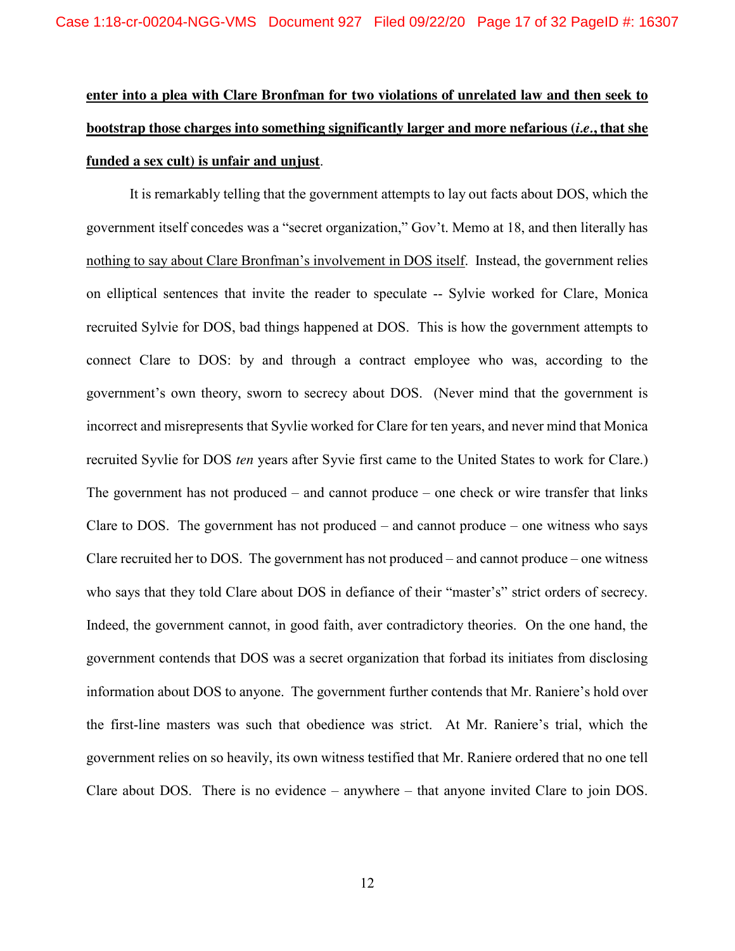# **enter into a plea with Clare Bronfman for two violations of unrelated law and then seek to bootstrap those charges into something significantly larger and more nefarious (***i.e.***, that she funded a sex cult) is unfair and unjust**.

It is remarkably telling that the government attempts to lay out facts about DOS, which the government itself concedes was a "secret organization," Gov't. Memo at 18, and then literally has nothing to say about Clare Bronfman's involvement in DOS itself. Instead, the government relies on elliptical sentences that invite the reader to speculate -- Sylvie worked for Clare, Monica recruited Sylvie for DOS, bad things happened at DOS. This is how the government attempts to connect Clare to DOS: by and through a contract employee who was, according to the government's own theory, sworn to secrecy about DOS. (Never mind that the government is incorrect and misrepresents that Syvlie worked for Clare for ten years, and never mind that Monica recruited Syvlie for DOS *ten* years after Syvie first came to the United States to work for Clare.) The government has not produced – and cannot produce – one check or wire transfer that links Clare to DOS. The government has not produced – and cannot produce – one witness who says Clare recruited her to DOS. The government has not produced – and cannot produce – one witness who says that they told Clare about DOS in defiance of their "master's" strict orders of secrecy. Indeed, the government cannot, in good faith, aver contradictory theories. On the one hand, the government contends that DOS was a secret organization that forbad its initiates from disclosing information about DOS to anyone. The government further contends that Mr. Raniere's hold over the first-line masters was such that obedience was strict. At Mr. Raniere's trial, which the government relies on so heavily, its own witness testified that Mr. Raniere ordered that no one tell Clare about DOS. There is no evidence – anywhere – that anyone invited Clare to join DOS.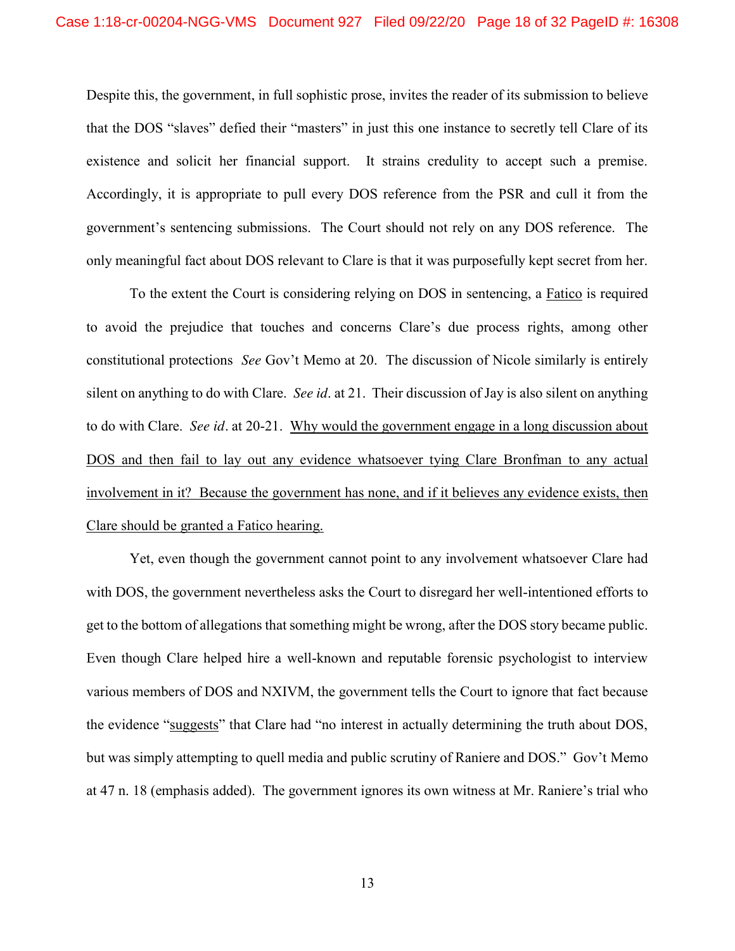Despite this, the government, in full sophistic prose, invites the reader of its submission to believe that the DOS "slaves" defied their "masters" in just this one instance to secretly tell Clare of its existence and solicit her financial support. It strains credulity to accept such a premise. Accordingly, it is appropriate to pull every DOS reference from the PSR and cull it from the government's sentencing submissions. The Court should not rely on any DOS reference. The only meaningful fact about DOS relevant to Clare is that it was purposefully kept secret from her.

To the extent the Court is considering relying on DOS in sentencing, a Fatico is required to avoid the prejudice that touches and concerns Clare's due process rights, among other constitutional protections *See* Gov't Memo at 20. The discussion of Nicole similarly is entirely silent on anything to do with Clare. *See id*. at 21. Their discussion of Jay is also silent on anything to do with Clare. *See id.* at 20-21. Why would the government engage in a long discussion about DOS and then fail to lay out any evidence whatsoever tying Clare Bronfman to any actual involvement in it? Because the government has none, and if it believes any evidence exists, then Clare should be granted a Fatico hearing.

Yet, even though the government cannot point to any involvement whatsoever Clare had with DOS, the government nevertheless asks the Court to disregard her well-intentioned efforts to get to the bottom of allegations that something might be wrong, after the DOS story became public. Even though Clare helped hire a well-known and reputable forensic psychologist to interview various members of DOS and NXIVM, the government tells the Court to ignore that fact because the evidence "suggests" that Clare had "no interest in actually determining the truth about DOS, but was simply attempting to quell media and public scrutiny of Raniere and DOS." Gov't Memo at 47 n. 18 (emphasis added). The government ignores its own witness at Mr. Raniere's trial who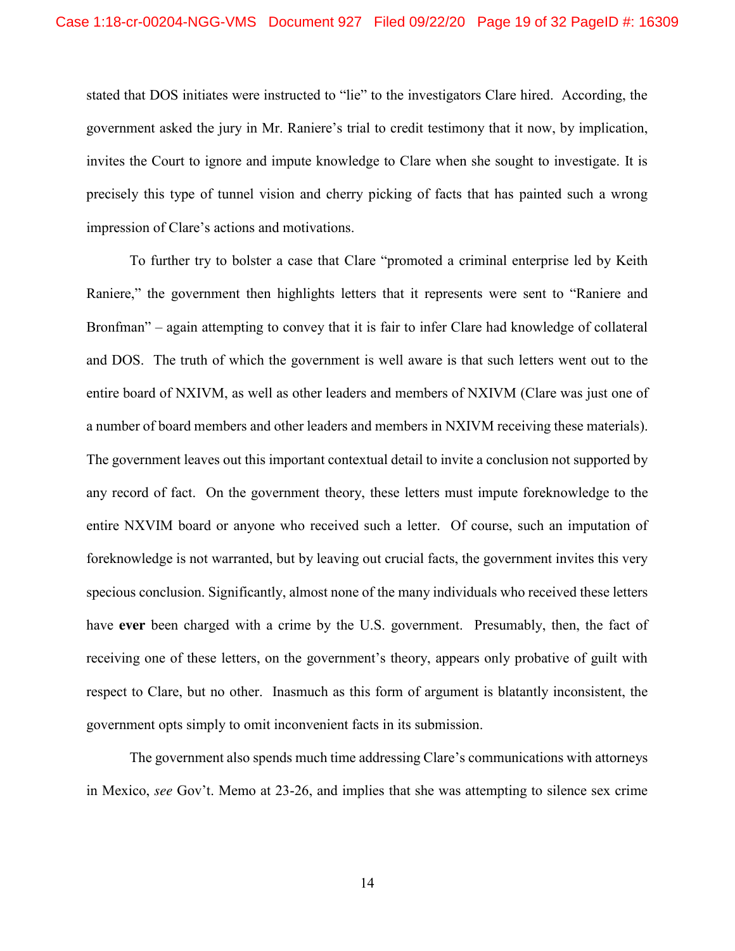stated that DOS initiates were instructed to "lie" to the investigators Clare hired. According, the government asked the jury in Mr. Raniere's trial to credit testimony that it now, by implication, invites the Court to ignore and impute knowledge to Clare when she sought to investigate. It is precisely this type of tunnel vision and cherry picking of facts that has painted such a wrong impression of Clare's actions and motivations.

To further try to bolster a case that Clare "promoted a criminal enterprise led by Keith Raniere," the government then highlights letters that it represents were sent to "Raniere and Bronfman" – again attempting to convey that it is fair to infer Clare had knowledge of collateral and DOS. The truth of which the government is well aware is that such letters went out to the entire board of NXIVM, as well as other leaders and members of NXIVM (Clare was just one of a number of board members and other leaders and members in NXIVM receiving these materials). The government leaves out this important contextual detail to invite a conclusion not supported by any record of fact. On the government theory, these letters must impute foreknowledge to the entire NXVIM board or anyone who received such a letter. Of course, such an imputation of foreknowledge is not warranted, but by leaving out crucial facts, the government invites this very specious conclusion. Significantly, almost none of the many individuals who received these letters have **ever** been charged with a crime by the U.S. government. Presumably, then, the fact of receiving one of these letters, on the government's theory, appears only probative of guilt with respect to Clare, but no other. Inasmuch as this form of argument is blatantly inconsistent, the government opts simply to omit inconvenient facts in its submission.

The government also spends much time addressing Clare's communications with attorneys in Mexico, *see* Gov't. Memo at 23-26, and implies that she was attempting to silence sex crime

14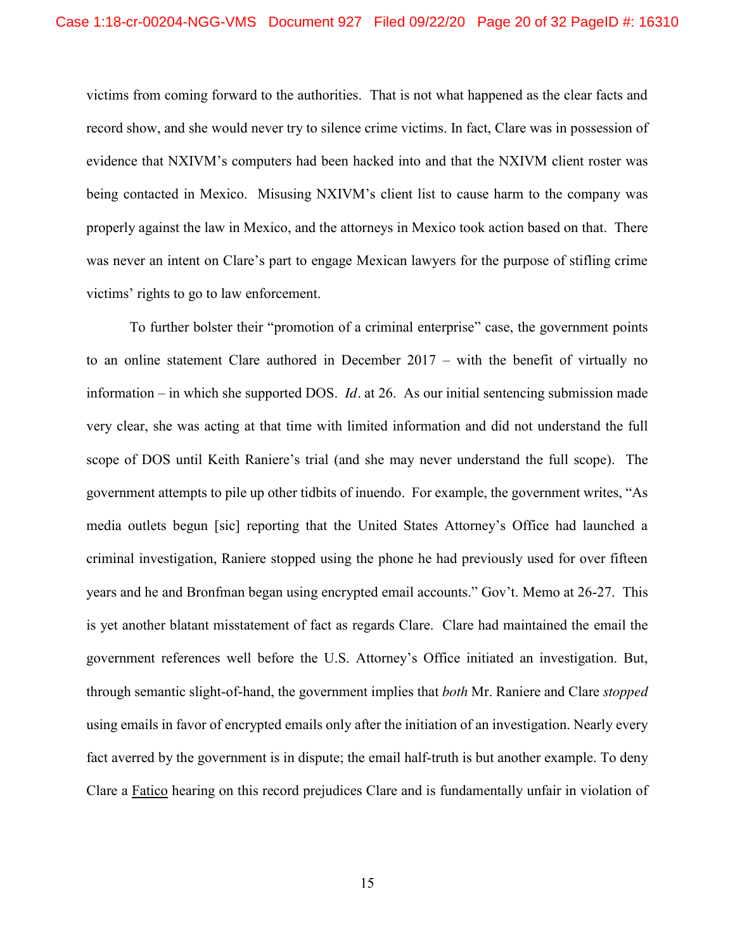victims from coming forward to the authorities. That is not what happened as the clear facts and record show, and she would never try to silence crime victims. In fact, Clare was in possession of evidence that NXIVM's computers had been hacked into and that the NXIVM client roster was being contacted in Mexico. Misusing NXIVM's client list to cause harm to the company was properly against the law in Mexico, and the attorneys in Mexico took action based on that. There was never an intent on Clare's part to engage Mexican lawyers for the purpose of stifling crime victims' rights to go to law enforcement.

To further bolster their "promotion of a criminal enterprise" case, the government points to an online statement Clare authored in December 2017 – with the benefit of virtually no information – in which she supported DOS. *Id.* at 26. As our initial sentencing submission made very clear, she was acting at that time with limited information and did not understand the full scope of DOS until Keith Raniere's trial (and she may never understand the full scope). The government attempts to pile up other tidbits of inuendo. For example, the government writes, "As media outlets begun [sic] reporting that the United States Attorney's Office had launched a criminal investigation, Raniere stopped using the phone he had previously used for over fifteen years and he and Bronfman began using encrypted email accounts." Gov't. Memo at 26-27. This is yet another blatant misstatement of fact as regards Clare. Clare had maintained the email the government references well before the U.S. Attorney's Office initiated an investigation. But, through semantic slight-of-hand, the government implies that *both* Mr. Raniere and Clare *stopped* using emails in favor of encrypted emails only after the initiation of an investigation. Nearly every fact averred by the government is in dispute; the email half-truth is but another example. To deny Clare a Fatico hearing on this record prejudices Clare and is fundamentally unfair in violation of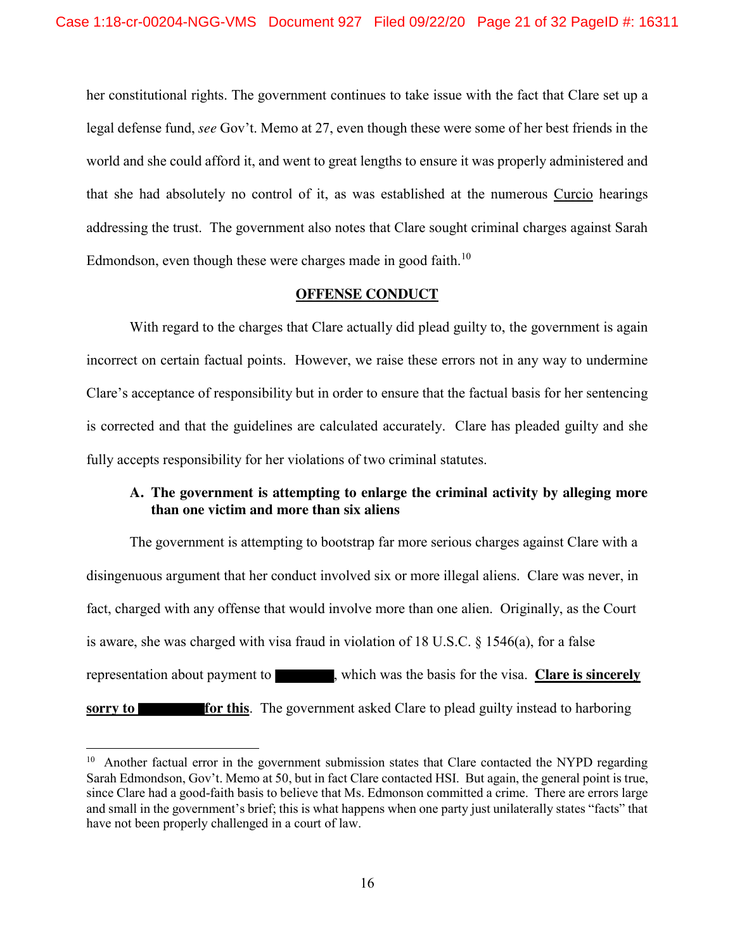her constitutional rights. The government continues to take issue with the fact that Clare set up a legal defense fund, *see* Gov't. Memo at 27, even though these were some of her best friends in the world and she could afford it, and went to great lengths to ensure it was properly administered and that she had absolutely no control of it, as was established at the numerous Curcio hearings addressing the trust. The government also notes that Clare sought criminal charges against Sarah Edmondson, even though these were charges made in good faith.<sup>10</sup>

### **OFFENSE CONDUCT**

With regard to the charges that Clare actually did plead guilty to, the government is again incorrect on certain factual points. However, we raise these errors not in any way to undermine Clare's acceptance of responsibility but in order to ensure that the factual basis for her sentencing is corrected and that the guidelines are calculated accurately. Clare has pleaded guilty and she fully accepts responsibility for her violations of two criminal statutes.

### **A. The government is attempting to enlarge the criminal activity by alleging more than one victim and more than six aliens**

The government is attempting to bootstrap far more serious charges against Clare with a disingenuous argument that her conduct involved six or more illegal aliens. Clare was never, in fact, charged with any offense that would involve more than one alien. Originally, as the Court is aware, she was charged with visa fraud in violation of 18 U.S.C. § 1546(a), for a false representation about payment to , which was the basis for the visa. **Clare is sincerely sorry to for this**. The government asked Clare to plead guilty instead to harboring

<sup>&</sup>lt;sup>10</sup> Another factual error in the government submission states that Clare contacted the NYPD regarding Sarah Edmondson, Gov't. Memo at 50, but in fact Clare contacted HSI. But again, the general point is true, since Clare had a good-faith basis to believe that Ms. Edmonson committed a crime. There are errors large and small in the government's brief; this is what happens when one party just unilaterally states "facts" that have not been properly challenged in a court of law.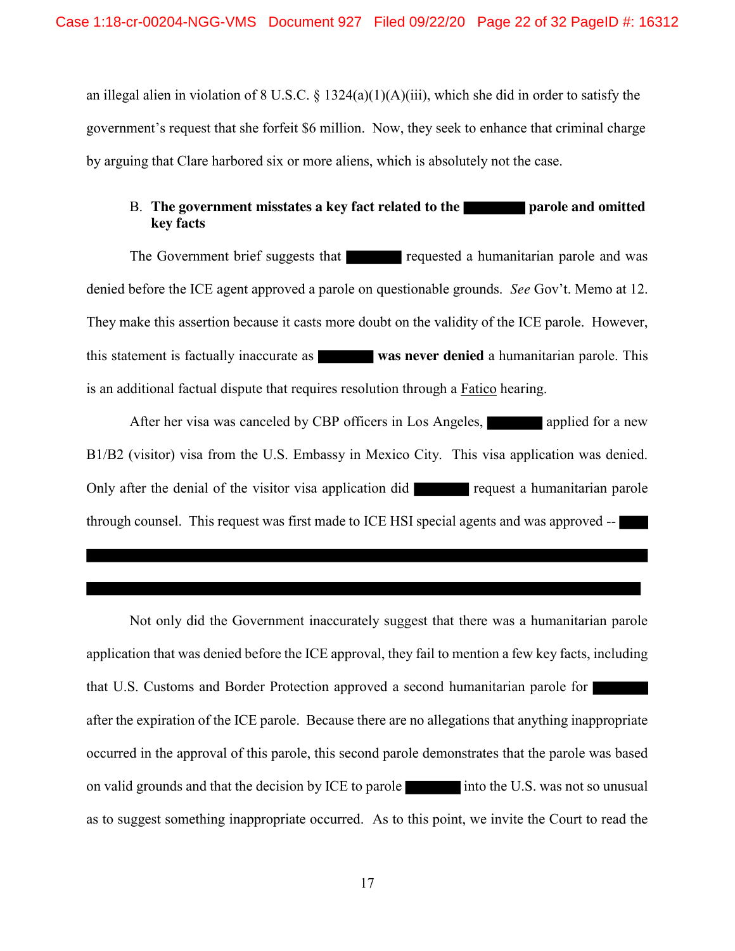an illegal alien in violation of 8 U.S.C. § 1324(a)(1)(A)(iii), which she did in order to satisfy the government's request that she forfeit \$6 million. Now, they seek to enhance that criminal charge by arguing that Clare harbored six or more aliens, which is absolutely not the case.

## B. **The government misstates a key fact related to the parole and omitted by the parole and omitted key facts**

The Government brief suggests that requested a humanitarian parole and was denied before the ICE agent approved a parole on questionable grounds. *See* Gov't. Memo at 12. They make this assertion because it casts more doubt on the validity of the ICE parole. However, this statement is factually inaccurate as **was never denied** a humanitarian parole. This is an additional factual dispute that requires resolution through a Fatico hearing.

After her visa was canceled by CBP officers in Los Angeles, applied for a new B1/B2 (visitor) visa from the U.S. Embassy in Mexico City. This visa application was denied. Only after the denial of the visitor visa application did request a humanitarian parole through counsel. This request was first made to ICE HSI special agents and was approved --

Not only did the Government inaccurately suggest that there was a humanitarian parole application that was denied before the ICE approval, they fail to mention a few key facts, including that U.S. Customs and Border Protection approved a second humanitarian parole for after the expiration of the ICE parole. Because there are no allegations that anything inappropriate occurred in the approval of this parole, this second parole demonstrates that the parole was based on valid grounds and that the decision by ICE to parole into the U.S. was not so unusual as to suggest something inappropriate occurred. As to this point, we invite the Court to read the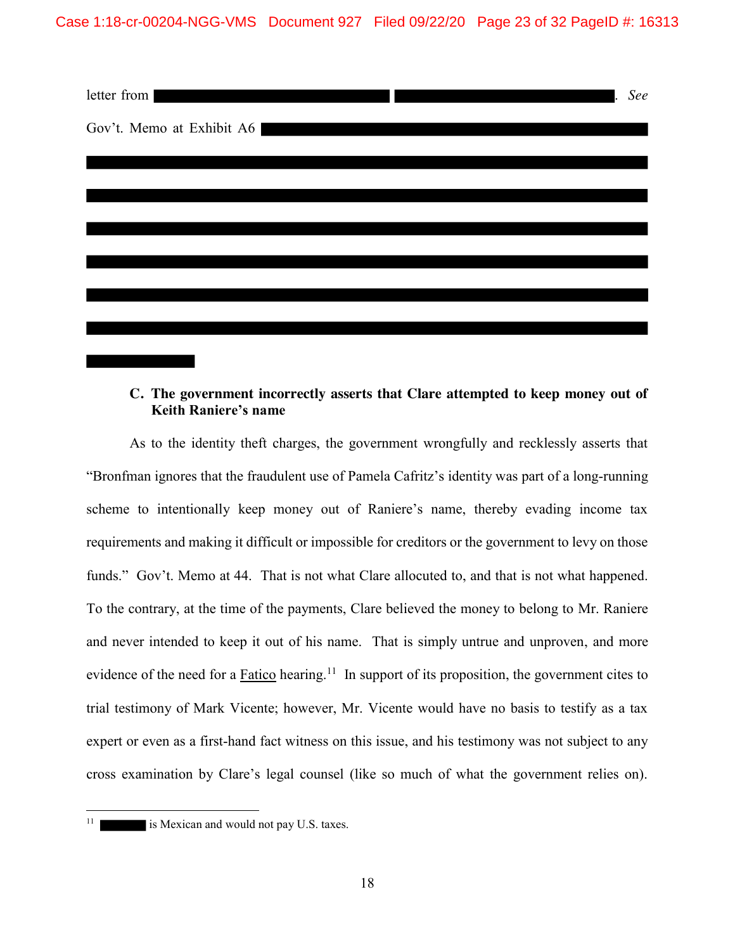

### **C. The government incorrectly asserts that Clare attempted to keep money out of Keith Raniere's name**

As to the identity theft charges, the government wrongfully and recklessly asserts that "Bronfman ignores that the fraudulent use of Pamela Cafritz's identity was part of a long-running scheme to intentionally keep money out of Raniere's name, thereby evading income tax requirements and making it difficult or impossible for creditors or the government to levy on those funds." Gov't. Memo at 44. That is not what Clare allocuted to, and that is not what happened. To the contrary, at the time of the payments, Clare believed the money to belong to Mr. Raniere and never intended to keep it out of his name. That is simply untrue and unproven, and more evidence of the need for a **Fatico** hearing.<sup>11</sup> In support of its proposition, the government cites to trial testimony of Mark Vicente; however, Mr. Vicente would have no basis to testify as a tax expert or even as a first-hand fact witness on this issue, and his testimony was not subject to any cross examination by Clare's legal counsel (like so much of what the government relies on).

<sup>&</sup>lt;sup>11</sup> is Mexican and would not pay U.S. taxes.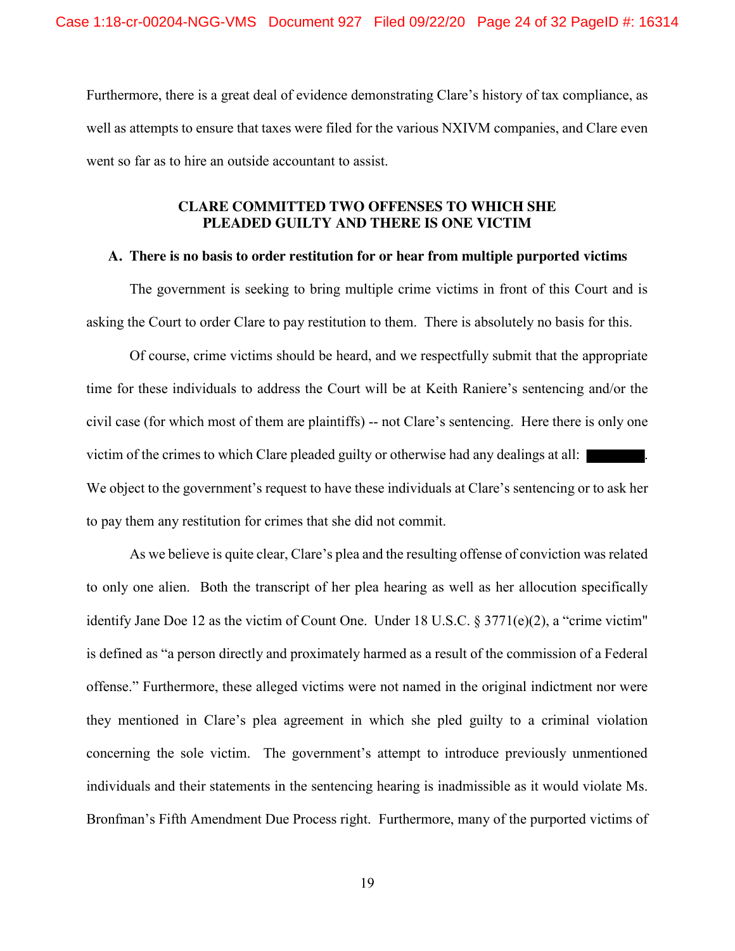Furthermore, there is a great deal of evidence demonstrating Clare's history of tax compliance, as well as attempts to ensure that taxes were filed for the various NXIVM companies, and Clare even went so far as to hire an outside accountant to assist.

### **CLARE COMMITTED TWO OFFENSES TO WHICH SHE PLEADED GUILTY AND THERE IS ONE VICTIM**

### **A. There is no basis to order restitution for or hear from multiple purported victims**

The government is seeking to bring multiple crime victims in front of this Court and is asking the Court to order Clare to pay restitution to them. There is absolutely no basis for this.

Of course, crime victims should be heard, and we respectfully submit that the appropriate time for these individuals to address the Court will be at Keith Raniere's sentencing and/or the civil case (for which most of them are plaintiffs) -- not Clare's sentencing. Here there is only one victim of the crimes to which Clare pleaded guilty or otherwise had any dealings at all: We object to the government's request to have these individuals at Clare's sentencing or to ask her to pay them any restitution for crimes that she did not commit.

As we believe is quite clear, Clare's plea and the resulting offense of conviction was related to only one alien. Both the transcript of her plea hearing as well as her allocution specifically identify Jane Doe 12 as the victim of Count One. Under 18 U.S.C. § 3771(e)(2), a "crime victim" is defined as "a person directly and proximately harmed as a result of the commission of a Federal offense." Furthermore, these alleged victims were not named in the original indictment nor were they mentioned in Clare's plea agreement in which she pled guilty to a criminal violation concerning the sole victim. The government's attempt to introduce previously unmentioned individuals and their statements in the sentencing hearing is inadmissible as it would violate Ms. Bronfman's Fifth Amendment Due Process right. Furthermore, many of the purported victims of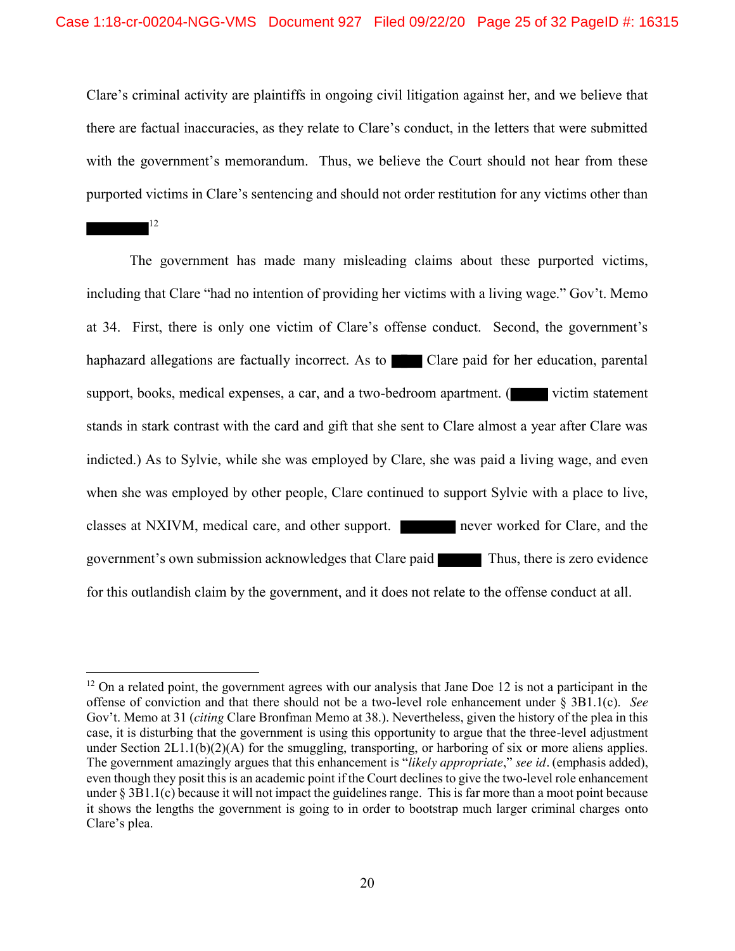Clare's criminal activity are plaintiffs in ongoing civil litigation against her, and we believe that there are factual inaccuracies, as they relate to Clare's conduct, in the letters that were submitted with the government's memorandum. Thus, we believe the Court should not hear from these purported victims in Clare's sentencing and should not order restitution for any victims other than

12

The government has made many misleading claims about these purported victims, including that Clare "had no intention of providing her victims with a living wage." Gov't. Memo at 34. First, there is only one victim of Clare's offense conduct. Second, the government's haphazard allegations are factually incorrect. As to Clare paid for her education, parental support, books, medical expenses, a car, and a two-bedroom apartment.  $\left($  victim statement stands in stark contrast with the card and gift that she sent to Clare almost a year after Clare was indicted.) As to Sylvie, while she was employed by Clare, she was paid a living wage, and even when she was employed by other people, Clare continued to support Sylvie with a place to live, classes at NXIVM, medical care, and other support. never worked for Clare, and the government's own submission acknowledges that Clare paid Thus, there is zero evidence for this outlandish claim by the government, and it does not relate to the offense conduct at all.

 $12$  On a related point, the government agrees with our analysis that Jane Doe 12 is not a participant in the offense of conviction and that there should not be a two-level role enhancement under § 3B1.1(c). *See* Gov't. Memo at 31 (*citing* Clare Bronfman Memo at 38.). Nevertheless, given the history of the plea in this case, it is disturbing that the government is using this opportunity to argue that the three-level adjustment under Section 2L1.1(b)(2)(A) for the smuggling, transporting, or harboring of six or more aliens applies. The government amazingly argues that this enhancement is "*likely appropriate*," *see id.* (emphasis added), even though they posit this is an academic point if the Court declines to give the two-level role enhancement under § 3B1.1(c) because it will not impact the guidelines range. This is far more than a moot point because it shows the lengths the government is going to in order to bootstrap much larger criminal charges onto Clare's plea.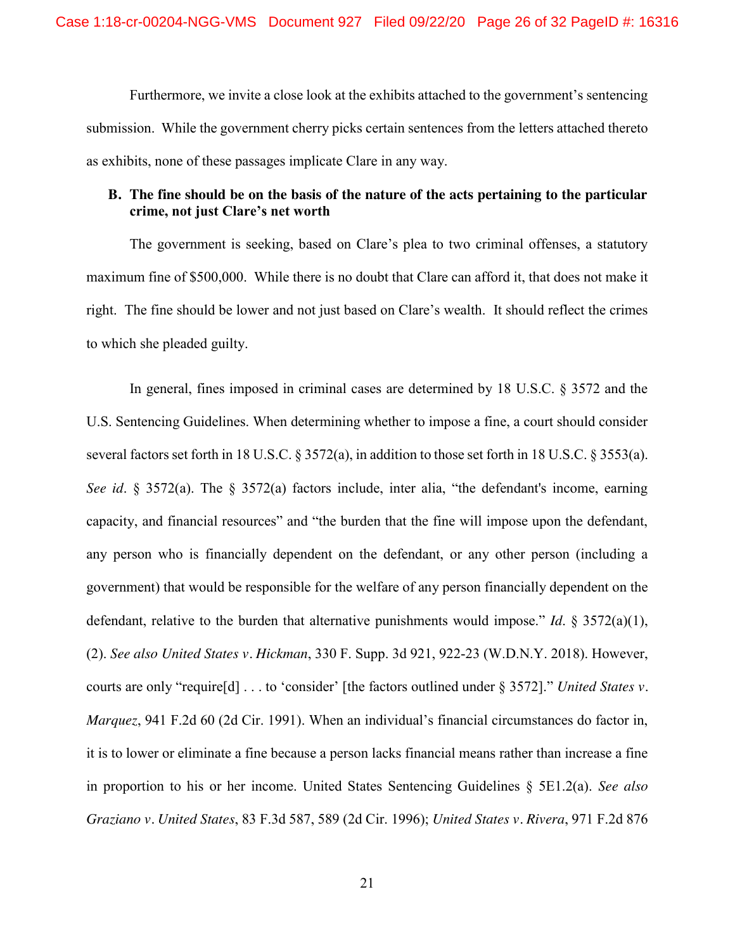Furthermore, we invite a close look at the exhibits attached to the government's sentencing submission. While the government cherry picks certain sentences from the letters attached thereto as exhibits, none of these passages implicate Clare in any way.

### **B. The fine should be on the basis of the nature of the acts pertaining to the particular crime, not just Clare's net worth**

The government is seeking, based on Clare's plea to two criminal offenses, a statutory maximum fine of \$500,000. While there is no doubt that Clare can afford it, that does not make it right. The fine should be lower and not just based on Clare's wealth. It should reflect the crimes to which she pleaded guilty.

In general, fines imposed in criminal cases are determined by 18 U.S.C. § 3572 and the U.S. Sentencing Guidelines. When determining whether to impose a fine, a court should consider several factors set forth in 18 U.S.C. § 3572(a), in addition to those set forth in 18 U.S.C. § 3553(a). *See id*. § 3572(a). The § 3572(a) factors include, inter alia, "the defendant's income, earning capacity, and financial resources" and "the burden that the fine will impose upon the defendant, any person who is financially dependent on the defendant, or any other person (including a government) that would be responsible for the welfare of any person financially dependent on the defendant, relative to the burden that alternative punishments would impose." *Id*. § 3572(a)(1), (2). *See also United States v. Hickman*, 330 F. Supp. 3d 921, 922-23 (W.D.N.Y. 2018). However, courts are only "require[d] . . . to 'consider' [the factors outlined under § 3572]." *United States v. Marquez*, 941 F.2d 60 (2d Cir. 1991). When an individual's financial circumstances do factor in, it is to lower or eliminate a fine because a person lacks financial means rather than increase a fine in proportion to his or her income. United States Sentencing Guidelines § 5E1.2(a). *See also Graziano v. United States*, 83 F.3d 587, 589 (2d Cir. 1996); *United States v. Rivera*, 971 F.2d 876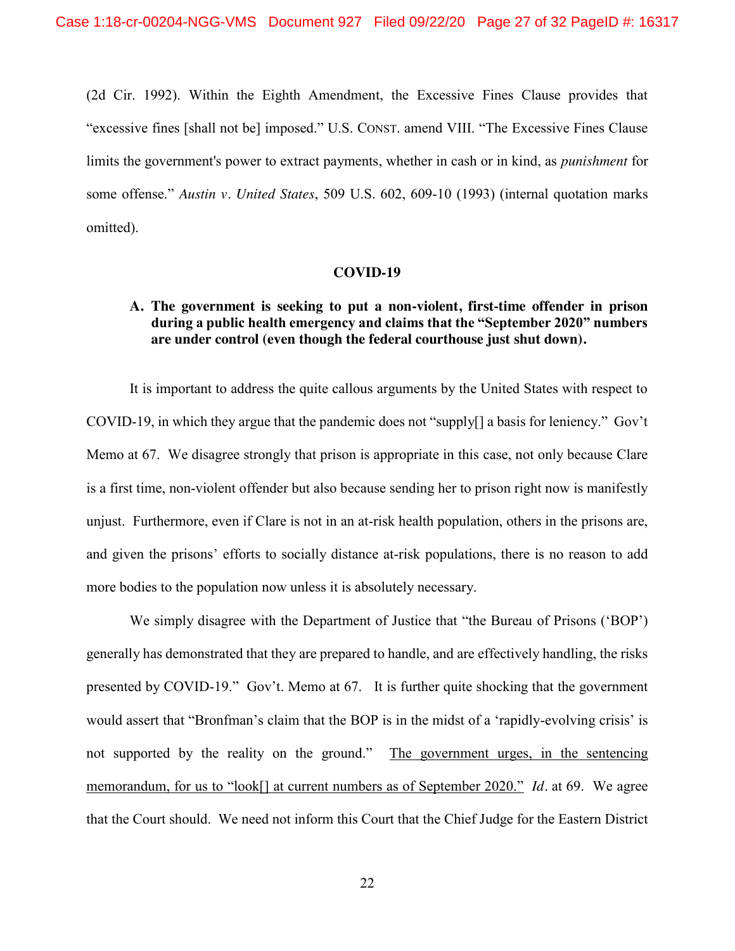(2d Cir. 1992). Within the Eighth Amendment, the Excessive Fines Clause provides that "excessive fines [shall not be] imposed." U.S. CONST. amend VIII. "The Excessive Fines Clause limits the government's power to extract payments, whether in cash or in kind, as *punishment* for some offense." *Austin v. United States*, 509 U.S. 602, 609-10 (1993) (internal quotation marks omitted).

#### **COVID-19**

## **A. The government is seeking to put a non-violent, first-time offender in prison during a public health emergency and claims that the "September 2020" numbers are under control (even though the federal courthouse just shut down).**

It is important to address the quite callous arguments by the United States with respect to COVID-19, in which they argue that the pandemic does not "supply[] a basis for leniency." Gov't Memo at 67. We disagree strongly that prison is appropriate in this case, not only because Clare is a first time, non-violent offender but also because sending her to prison right now is manifestly unjust. Furthermore, even if Clare is not in an at-risk health population, others in the prisons are, and given the prisons' efforts to socially distance at-risk populations, there is no reason to add more bodies to the population now unless it is absolutely necessary.

We simply disagree with the Department of Justice that "the Bureau of Prisons ('BOP') generally has demonstrated that they are prepared to handle, and are effectively handling, the risks presented by COVID-19." Gov't. Memo at 67. It is further quite shocking that the government would assert that "Bronfman's claim that the BOP is in the midst of a 'rapidly-evolving crisis' is not supported by the reality on the ground." The government urges, in the sentencing memorandum, for us to "look[] at current numbers as of September 2020." *Id.* at 69. We agree that the Court should. We need not inform this Court that the Chief Judge for the Eastern District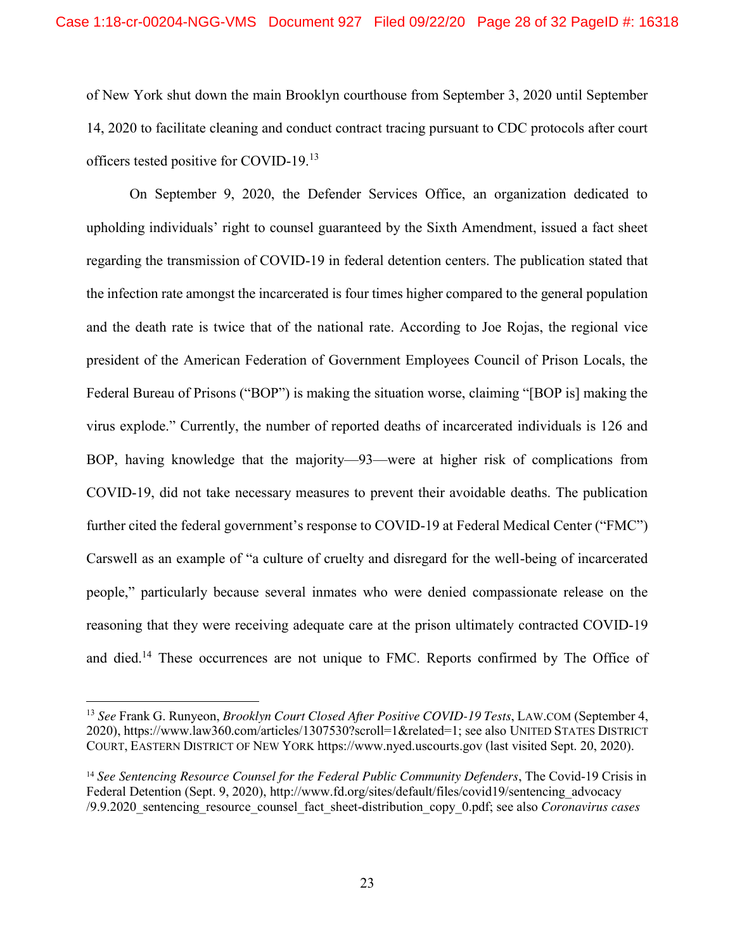of New York shut down the main Brooklyn courthouse from September 3, 2020 until September 14, 2020 to facilitate cleaning and conduct contract tracing pursuant to CDC protocols after court officers tested positive for COVID-19.<sup>13</sup>

On September 9, 2020, the Defender Services Office, an organization dedicated to upholding individuals' right to counsel guaranteed by the Sixth Amendment, issued a fact sheet regarding the transmission of COVID-19 in federal detention centers. The publication stated that the infection rate amongst the incarcerated is four times higher compared to the general population and the death rate is twice that of the national rate. According to Joe Rojas, the regional vice president of the American Federation of Government Employees Council of Prison Locals, the Federal Bureau of Prisons ("BOP") is making the situation worse, claiming "[BOP is] making the virus explode." Currently, the number of reported deaths of incarcerated individuals is 126 and BOP, having knowledge that the majority—93—were at higher risk of complications from COVID-19, did not take necessary measures to prevent their avoidable deaths. The publication further cited the federal government's response to COVID-19 at Federal Medical Center ("FMC") Carswell as an example of "a culture of cruelty and disregard for the well-being of incarcerated people," particularly because several inmates who were denied compassionate release on the reasoning that they were receiving adequate care at the prison ultimately contracted COVID-19 and died.<sup>14</sup> These occurrences are not unique to FMC. Reports confirmed by The Office of

 <sup>13</sup> *See* Frank G. Runyeon, *Brooklyn Court Closed After Positive COVID-19 Tests*, LAW.COM (September 4, 2020), https://www.law360.com/articles/1307530?scroll=1&related=1; see also UNITED STATES DISTRICT COURT, EASTERN DISTRICT OF NEW YORK https://www.nyed.uscourts.gov (last visited Sept. 20, 2020).

<sup>14</sup> *See Sentencing Resource Counsel for the Federal Public Community Defenders*, The Covid-19 Crisis in Federal Detention (Sept. 9, 2020), http://www.fd.org/sites/default/files/covid19/sentencing\_advocacy /9.9.2020\_sentencing\_resource\_counsel\_fact\_sheet-distribution\_copy\_0.pdf; see also *Coronavirus cases*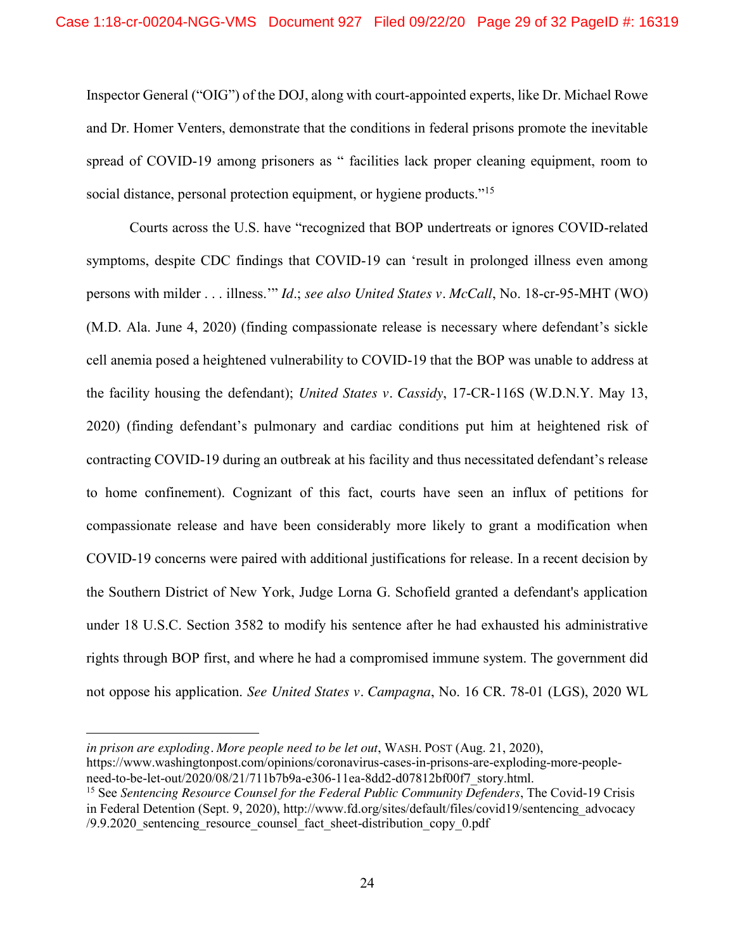Inspector General ("OIG") of the DOJ, along with court-appointed experts, like Dr. Michael Rowe and Dr. Homer Venters, demonstrate that the conditions in federal prisons promote the inevitable spread of COVID-19 among prisoners as " facilities lack proper cleaning equipment, room to social distance, personal protection equipment, or hygiene products."<sup>15</sup>

Courts across the U.S. have "recognized that BOP undertreats or ignores COVID-related symptoms, despite CDC findings that COVID-19 can 'result in prolonged illness even among persons with milder . . . illness.'" *Id*.; *see also United States v. McCall*, No. 18-cr-95-MHT (WO) (M.D. Ala. June 4, 2020) (finding compassionate release is necessary where defendant's sickle cell anemia posed a heightened vulnerability to COVID-19 that the BOP was unable to address at the facility housing the defendant); *United States v. Cassidy*, 17-CR-116S (W.D.N.Y. May 13, 2020) (finding defendant's pulmonary and cardiac conditions put him at heightened risk of contracting COVID-19 during an outbreak at his facility and thus necessitated defendant's release to home confinement). Cognizant of this fact, courts have seen an influx of petitions for compassionate release and have been considerably more likely to grant a modification when COVID-19 concerns were paired with additional justifications for release. In a recent decision by the Southern District of New York, Judge Lorna G. Schofield granted a defendant's application under 18 U.S.C. Section 3582 to modify his sentence after he had exhausted his administrative rights through BOP first, and where he had a compromised immune system. The government did not oppose his application. *See United States v. Campagna*, No. 16 CR. 78-01 (LGS), 2020 WL

 $\overline{a}$ 

in prison are exploding. More people need to be let out, WASH. POST (Aug. 21, 2020),

https://www.washingtonpost.com/opinions/coronavirus-cases-in-prisons-are-exploding-more-peopleneed-to-be-let-out/2020/08/21/711b7b9a-e306-11ea-8dd2-d07812bf00f7\_story.html.

<sup>15</sup> See *Sentencing Resource Counsel for the Federal Public Community Defenders*, The Covid-19 Crisis in Federal Detention (Sept. 9, 2020), http://www.fd.org/sites/default/files/covid19/sentencing\_advocacy /9.9.2020\_sentencing\_resource\_counsel\_fact\_sheet-distribution\_copy\_0.pdf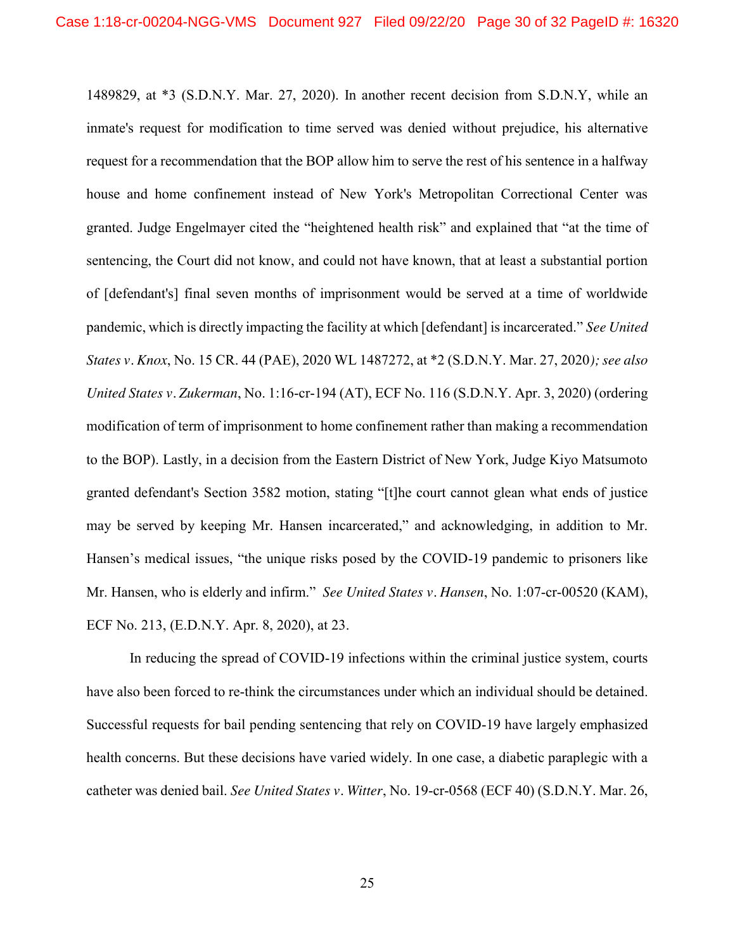1489829, at \*3 (S.D.N.Y. Mar. 27, 2020). In another recent decision from S.D.N.Y, while an inmate's request for modification to time served was denied without prejudice, his alternative request for a recommendation that the BOP allow him to serve the rest of his sentence in a halfway house and home confinement instead of New York's Metropolitan Correctional Center was granted. Judge Engelmayer cited the "heightened health risk" and explained that "at the time of sentencing, the Court did not know, and could not have known, that at least a substantial portion of [defendant's] final seven months of imprisonment would be served at a time of worldwide pandemic, which is directly impacting the facility at which [defendant] is incarcerated." *See United States v. Knox*, No. 15 CR. 44 (PAE), 2020 WL 1487272, at \*2 (S.D.N.Y. Mar. 27, 2020*); see also United States v. Zukerman*, No. 1:16-cr-194 (AT), ECF No. 116 (S.D.N.Y. Apr. 3, 2020) (ordering modification of term of imprisonment to home confinement rather than making a recommendation to the BOP). Lastly, in a decision from the Eastern District of New York, Judge Kiyo Matsumoto granted defendant's Section 3582 motion, stating "[t]he court cannot glean what ends of justice may be served by keeping Mr. Hansen incarcerated," and acknowledging, in addition to Mr. Hansen's medical issues, "the unique risks posed by the COVID-19 pandemic to prisoners like Mr. Hansen, who is elderly and infirm." *See United States v. Hansen*, No. 1:07-cr-00520 (KAM), ECF No. 213, (E.D.N.Y. Apr. 8, 2020), at 23.

In reducing the spread of COVID-19 infections within the criminal justice system, courts have also been forced to re-think the circumstances under which an individual should be detained. Successful requests for bail pending sentencing that rely on COVID-19 have largely emphasized health concerns. But these decisions have varied widely. In one case, a diabetic paraplegic with a catheter was denied bail. *See United States v. Witter*, No. 19-cr-0568 (ECF 40) (S.D.N.Y. Mar. 26,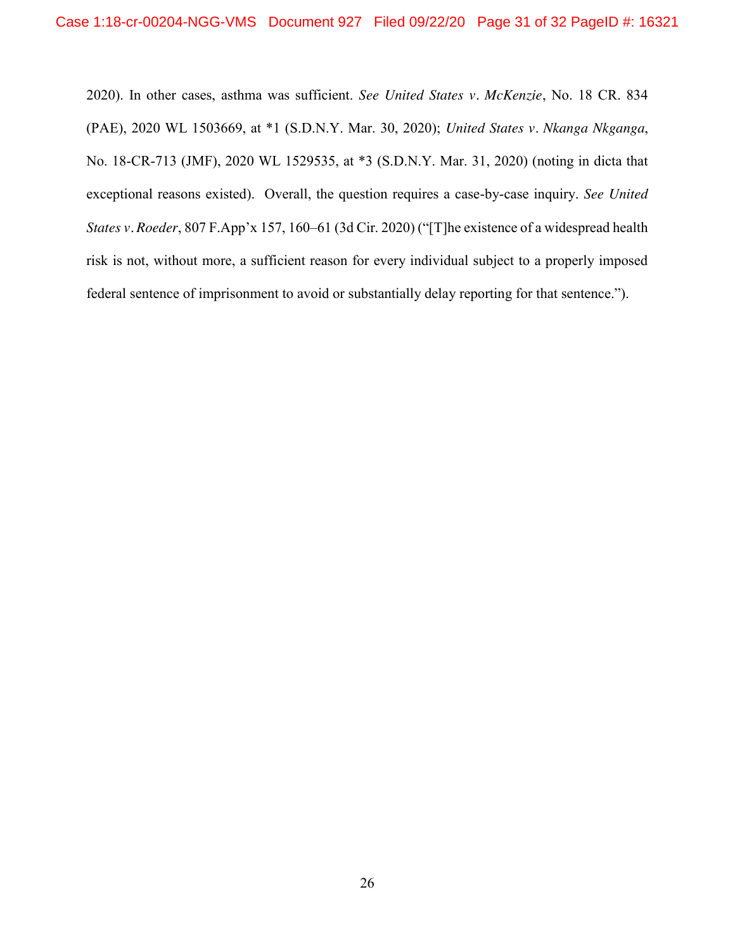2020). In other cases, asthma was sufficient. *See United States v. McKenzie*, No. 18 CR. 834 (PAE), 2020 WL 1503669, at \*1 (S.D.N.Y. Mar. 30, 2020); *United States v. Nkanga Nkganga*, No. 18-CR-713 (JMF), 2020 WL 1529535, at \*3 (S.D.N.Y. Mar. 31, 2020) (noting in dicta that exceptional reasons existed). Overall, the question requires a case-by-case inquiry. *See United States v. Roeder*, 807 F.App'x 157, 160–61 (3d Cir. 2020) ("[T]he existence of a widespread health risk is not, without more, a sufficient reason for every individual subject to a properly imposed federal sentence of imprisonment to avoid or substantially delay reporting for that sentence.").